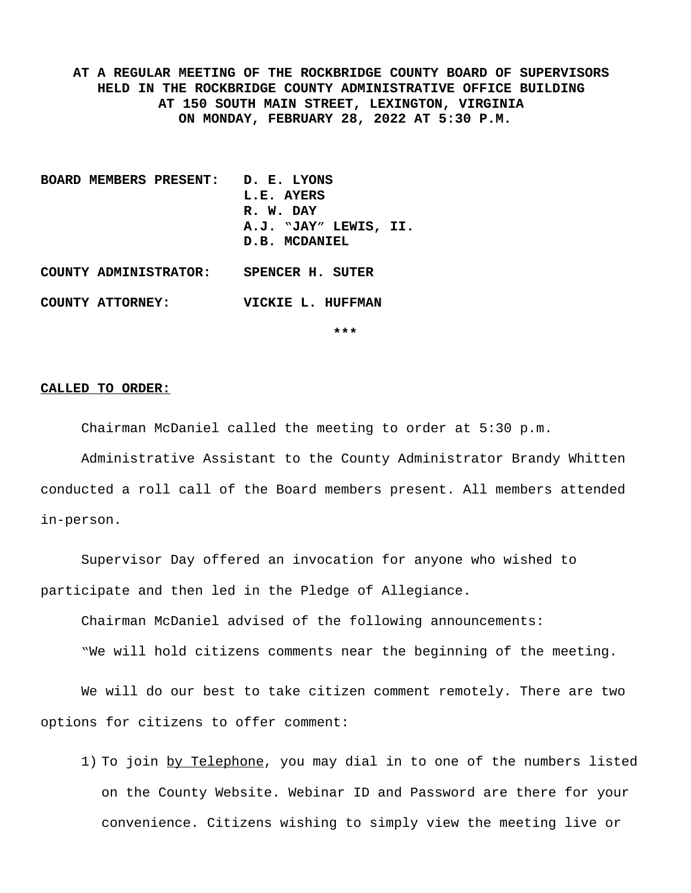**AT A REGULAR MEETING OF THE ROCKBRIDGE COUNTY BOARD OF SUPERVISORS HELD IN THE ROCKBRIDGE COUNTY ADMINISTRATIVE OFFICE BUILDING AT 150 SOUTH MAIN STREET, LEXINGTON, VIRGINIA ON MONDAY, FEBRUARY 28, 2022 AT 5:30 P.M.**

- **BOARD MEMBERS PRESENT: D. E. LYONS L.E. AYERS R. W. DAY A.J. "JAY" LEWIS, II. D.B. MCDANIEL**
- **COUNTY ATTORNEY: VICKIE L. HUFFMAN**

**COUNTY ADMINISTRATOR: SPENCER H. SUTER**

**\*\*\***

#### **CALLED TO ORDER:**

Chairman McDaniel called the meeting to order at 5:30 p.m.

Administrative Assistant to the County Administrator Brandy Whitten conducted a roll call of the Board members present. All members attended in-person.

Supervisor Day offered an invocation for anyone who wished to participate and then led in the Pledge of Allegiance.

Chairman McDaniel advised of the following announcements:

"We will hold citizens comments near the beginning of the meeting.

We will do our best to take citizen comment remotely. There are two options for citizens to offer comment:

1) To join by Telephone, you may dial in to one of the numbers listed on the County Website. Webinar ID and Password are there for your convenience. Citizens wishing to simply view the meeting live or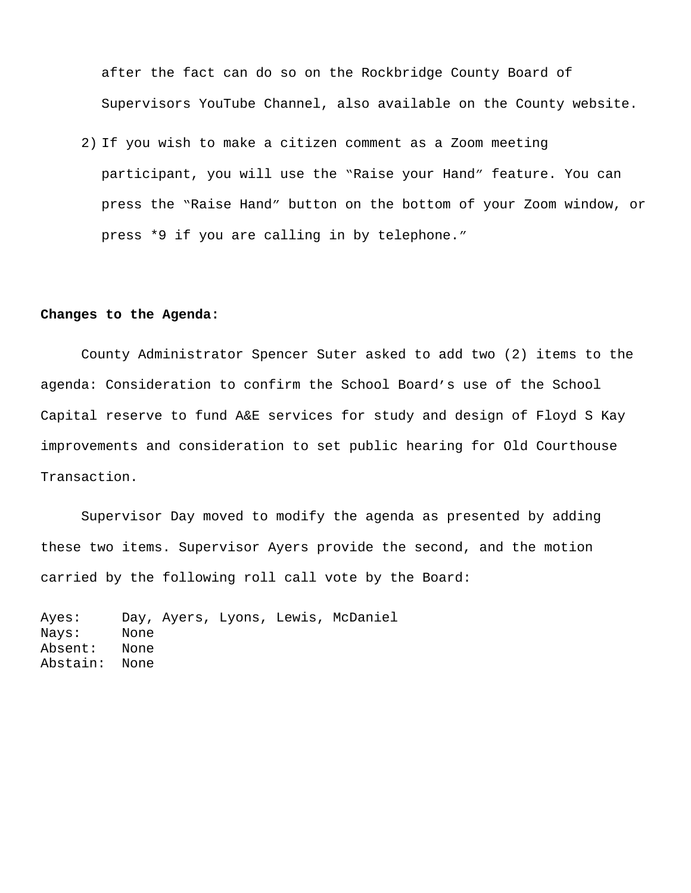after the fact can do so on the Rockbridge County Board of Supervisors YouTube Channel, also available on the County website.

2) If you wish to make a citizen comment as a Zoom meeting participant, you will use the "Raise your Hand" feature. You can press the "Raise Hand" button on the bottom of your Zoom window, or press \*9 if you are calling in by telephone."

#### **Changes to the Agenda:**

County Administrator Spencer Suter asked to add two (2) items to the agenda: Consideration to confirm the School Board's use of the School Capital reserve to fund A&E services for study and design of Floyd S Kay improvements and consideration to set public hearing for Old Courthouse Transaction.

Supervisor Day moved to modify the agenda as presented by adding these two items. Supervisor Ayers provide the second, and the motion carried by the following roll call vote by the Board:

Ayes: Day, Ayers, Lyons, Lewis, McDaniel Nays: None Absent: None Abstain: None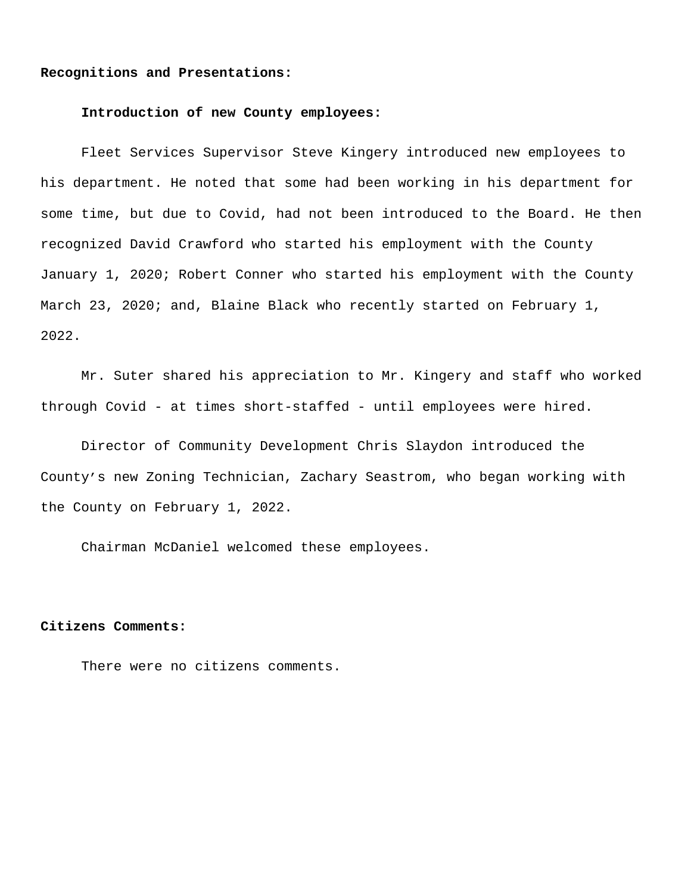#### **Recognitions and Presentations:**

#### **Introduction of new County employees:**

Fleet Services Supervisor Steve Kingery introduced new employees to his department. He noted that some had been working in his department for some time, but due to Covid, had not been introduced to the Board. He then recognized David Crawford who started his employment with the County January 1, 2020; Robert Conner who started his employment with the County March 23, 2020; and, Blaine Black who recently started on February 1, 2022.

Mr. Suter shared his appreciation to Mr. Kingery and staff who worked through Covid - at times short-staffed - until employees were hired.

Director of Community Development Chris Slaydon introduced the County's new Zoning Technician, Zachary Seastrom, who began working with the County on February 1, 2022.

Chairman McDaniel welcomed these employees.

#### **Citizens Comments:**

There were no citizens comments.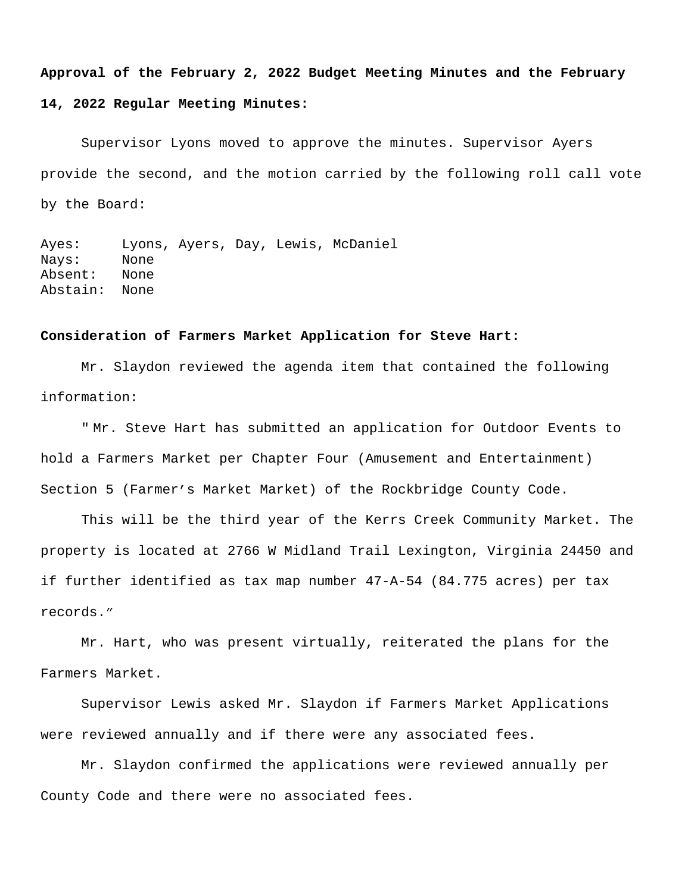#### **Approval of the February 2, 2022 Budget Meeting Minutes and the February**

#### **14, 2022 Regular Meeting Minutes:**

Supervisor Lyons moved to approve the minutes. Supervisor Ayers provide the second, and the motion carried by the following roll call vote by the Board:

Ayes: Lyons, Ayers, Day, Lewis, McDaniel Nays: None Absent: None Abstain: None

#### **Consideration of Farmers Market Application for Steve Hart:**

Mr. Slaydon reviewed the agenda item that contained the following information:

" Mr. Steve Hart has submitted an application for Outdoor Events to hold a Farmers Market per Chapter Four (Amusement and Entertainment) Section 5 (Farmer's Market Market) of the Rockbridge County Code.

This will be the third year of the Kerrs Creek Community Market. The property is located at 2766 W Midland Trail Lexington, Virginia 24450 and if further identified as tax map number 47-A-54 (84.775 acres) per tax records."

Mr. Hart, who was present virtually, reiterated the plans for the Farmers Market.

Supervisor Lewis asked Mr. Slaydon if Farmers Market Applications were reviewed annually and if there were any associated fees.

Mr. Slaydon confirmed the applications were reviewed annually per County Code and there were no associated fees.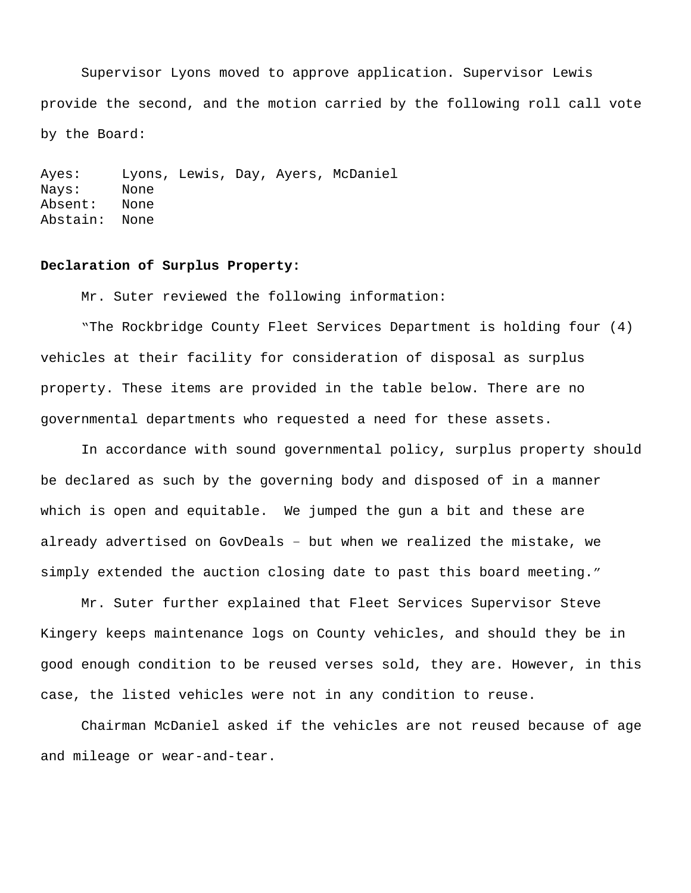Supervisor Lyons moved to approve application. Supervisor Lewis provide the second, and the motion carried by the following roll call vote by the Board:

Ayes: Lyons, Lewis, Day, Ayers, McDaniel Nays: None Absent: None Abstain: None

#### **Declaration of Surplus Property:**

Mr. Suter reviewed the following information:

"The Rockbridge County Fleet Services Department is holding four (4) vehicles at their facility for consideration of disposal as surplus property. These items are provided in the table below. There are no governmental departments who requested a need for these assets.

In accordance with sound governmental policy, surplus property should be declared as such by the governing body and disposed of in a manner which is open and equitable. We jumped the gun a bit and these are already advertised on GovDeals – but when we realized the mistake, we simply extended the auction closing date to past this board meeting."

Mr. Suter further explained that Fleet Services Supervisor Steve Kingery keeps maintenance logs on County vehicles, and should they be in good enough condition to be reused verses sold, they are. However, in this case, the listed vehicles were not in any condition to reuse.

Chairman McDaniel asked if the vehicles are not reused because of age and mileage or wear-and-tear.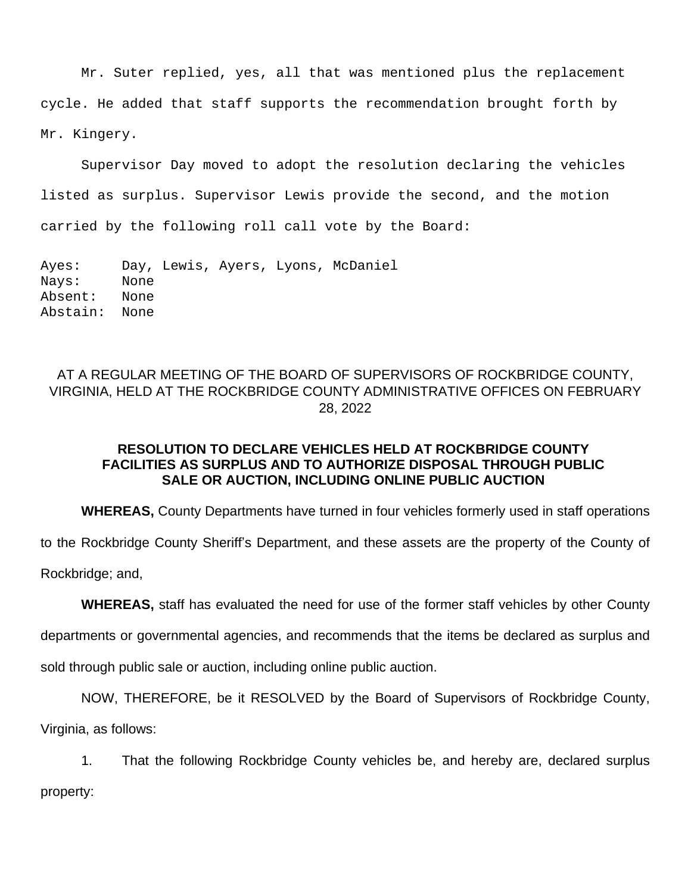Mr. Suter replied, yes, all that was mentioned plus the replacement cycle. He added that staff supports the recommendation brought forth by Mr. Kingery.

Supervisor Day moved to adopt the resolution declaring the vehicles listed as surplus. Supervisor Lewis provide the second, and the motion carried by the following roll call vote by the Board:

Ayes: Day, Lewis, Ayers, Lyons, McDaniel Nays: None Absent: None Abstain: None

# AT A REGULAR MEETING OF THE BOARD OF SUPERVISORS OF ROCKBRIDGE COUNTY, VIRGINIA, HELD AT THE ROCKBRIDGE COUNTY ADMINISTRATIVE OFFICES ON FEBRUARY 28, 2022

# **RESOLUTION TO DECLARE VEHICLES HELD AT ROCKBRIDGE COUNTY FACILITIES AS SURPLUS AND TO AUTHORIZE DISPOSAL THROUGH PUBLIC SALE OR AUCTION, INCLUDING ONLINE PUBLIC AUCTION**

**WHEREAS,** County Departments have turned in four vehicles formerly used in staff operations

to the Rockbridge County Sheriff's Department, and these assets are the property of the County of

Rockbridge; and,

**WHEREAS,** staff has evaluated the need for use of the former staff vehicles by other County

departments or governmental agencies, and recommends that the items be declared as surplus and

sold through public sale or auction, including online public auction.

NOW, THEREFORE, be it RESOLVED by the Board of Supervisors of Rockbridge County, Virginia, as follows:

1. That the following Rockbridge County vehicles be, and hereby are, declared surplus property: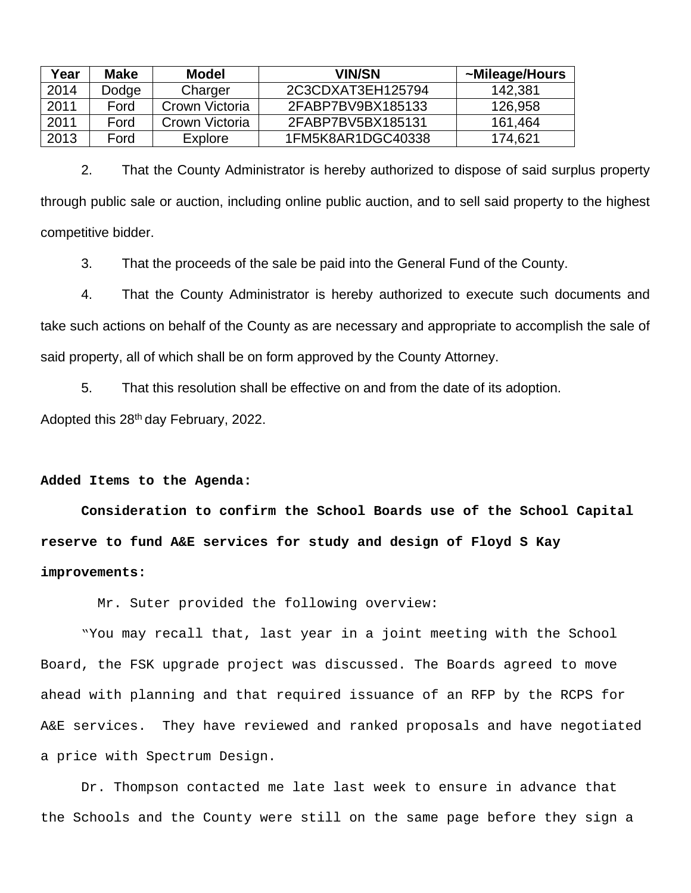| Year | Make  | Model          | <b>VIN/SN</b>     | ~Mileage/Hours |
|------|-------|----------------|-------------------|----------------|
| 2014 | Dodge | Charger        | 2C3CDXAT3EH125794 | 142,381        |
| 2011 | Ford  | Crown Victoria | 2FABP7BV9BX185133 | 126,958        |
| 2011 | Ford  | Crown Victoria | 2FABP7BV5BX185131 | 161,464        |
| 2013 | Ford  | Explore        | 1FM5K8AR1DGC40338 | 174,621        |

2. That the County Administrator is hereby authorized to dispose of said surplus property through public sale or auction, including online public auction, and to sell said property to the highest competitive bidder.

3. That the proceeds of the sale be paid into the General Fund of the County.

4. That the County Administrator is hereby authorized to execute such documents and take such actions on behalf of the County as are necessary and appropriate to accomplish the sale of said property, all of which shall be on form approved by the County Attorney.

5. That this resolution shall be effective on and from the date of its adoption.

Adopted this 28th day February, 2022.

## **Added Items to the Agenda:**

**Consideration to confirm the School Boards use of the School Capital reserve to fund A&E services for study and design of Floyd S Kay improvements:**

Mr. Suter provided the following overview:

"You may recall that, last year in a joint meeting with the School Board, the FSK upgrade project was discussed. The Boards agreed to move ahead with planning and that required issuance of an RFP by the RCPS for A&E services. They have reviewed and ranked proposals and have negotiated a price with Spectrum Design.

Dr. Thompson contacted me late last week to ensure in advance that the Schools and the County were still on the same page before they sign a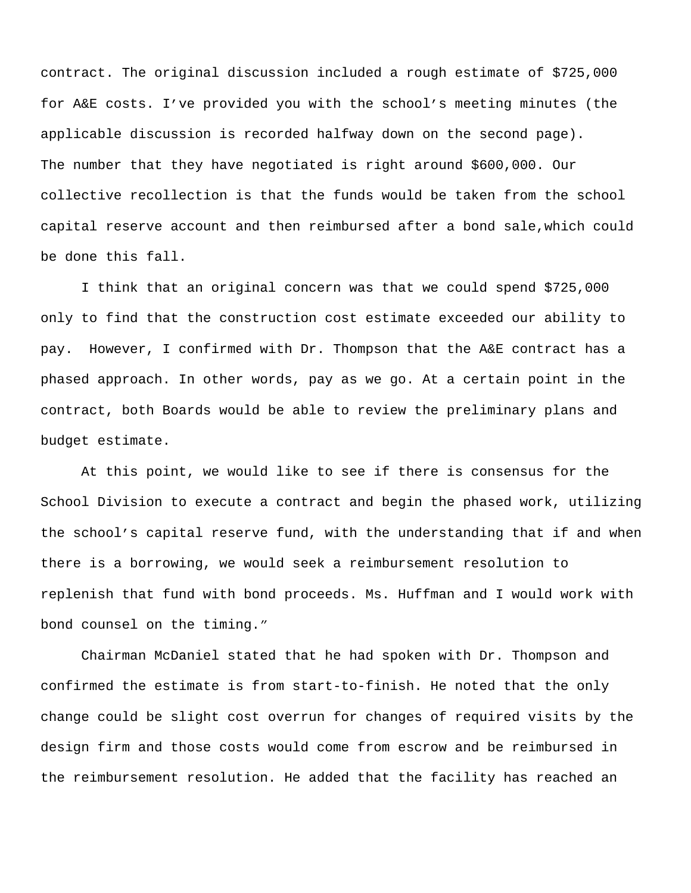contract. The original discussion included a rough estimate of \$725,000 for A&E costs. I've provided you with the school's meeting minutes (the applicable discussion is recorded halfway down on the second page). The number that they have negotiated is right around \$600,000. Our collective recollection is that the funds would be taken from the school capital reserve account and then reimbursed after a bond sale,which could be done this fall.

I think that an original concern was that we could spend \$725,000 only to find that the construction cost estimate exceeded our ability to pay. However, I confirmed with Dr. Thompson that the A&E contract has a phased approach. In other words, pay as we go. At a certain point in the contract, both Boards would be able to review the preliminary plans and budget estimate.

At this point, we would like to see if there is consensus for the School Division to execute a contract and begin the phased work, utilizing the school's capital reserve fund, with the understanding that if and when there is a borrowing, we would seek a reimbursement resolution to replenish that fund with bond proceeds. Ms. Huffman and I would work with bond counsel on the timing."

Chairman McDaniel stated that he had spoken with Dr. Thompson and confirmed the estimate is from start-to-finish. He noted that the only change could be slight cost overrun for changes of required visits by the design firm and those costs would come from escrow and be reimbursed in the reimbursement resolution. He added that the facility has reached an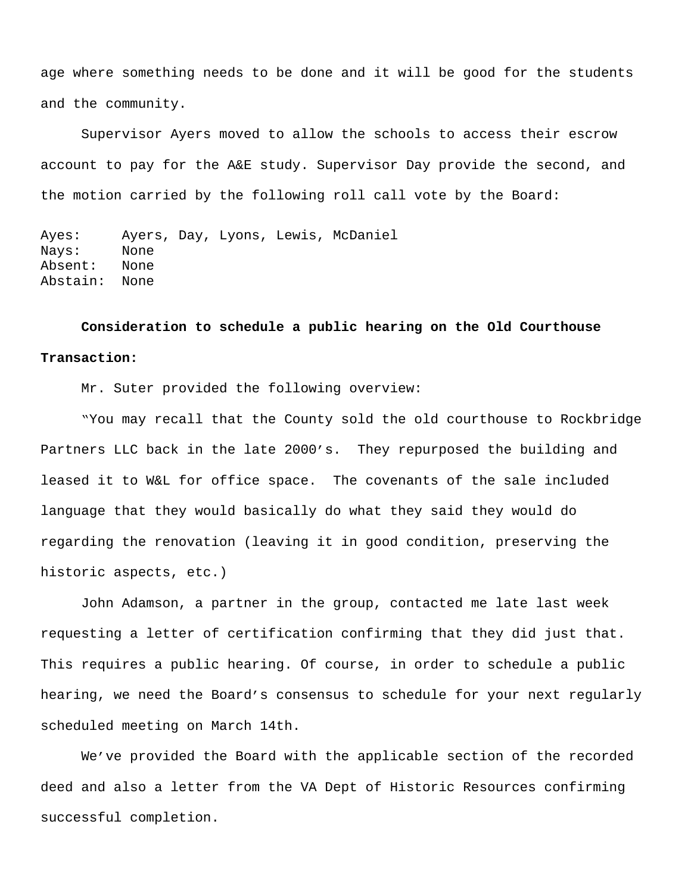age where something needs to be done and it will be good for the students and the community.

Supervisor Ayers moved to allow the schools to access their escrow account to pay for the A&E study. Supervisor Day provide the second, and the motion carried by the following roll call vote by the Board:

Ayes: Ayers, Day, Lyons, Lewis, McDaniel Nays: None Absent: None Abstain: None

**Consideration to schedule a public hearing on the Old Courthouse Transaction:**

Mr. Suter provided the following overview:

 "You may recall that the County sold the old courthouse to Rockbridge Partners LLC back in the late 2000's. They repurposed the building and leased it to W&L for office space. The covenants of the sale included language that they would basically do what they said they would do regarding the renovation (leaving it in good condition, preserving the historic aspects, etc.)

John Adamson, a partner in the group, contacted me late last week requesting a letter of certification confirming that they did just that. This requires a public hearing. Of course, in order to schedule a public hearing, we need the Board's consensus to schedule for your next regularly scheduled meeting on March 14th.

We've provided the Board with the applicable section of the recorded deed and also a letter from the VA Dept of Historic Resources confirming successful completion.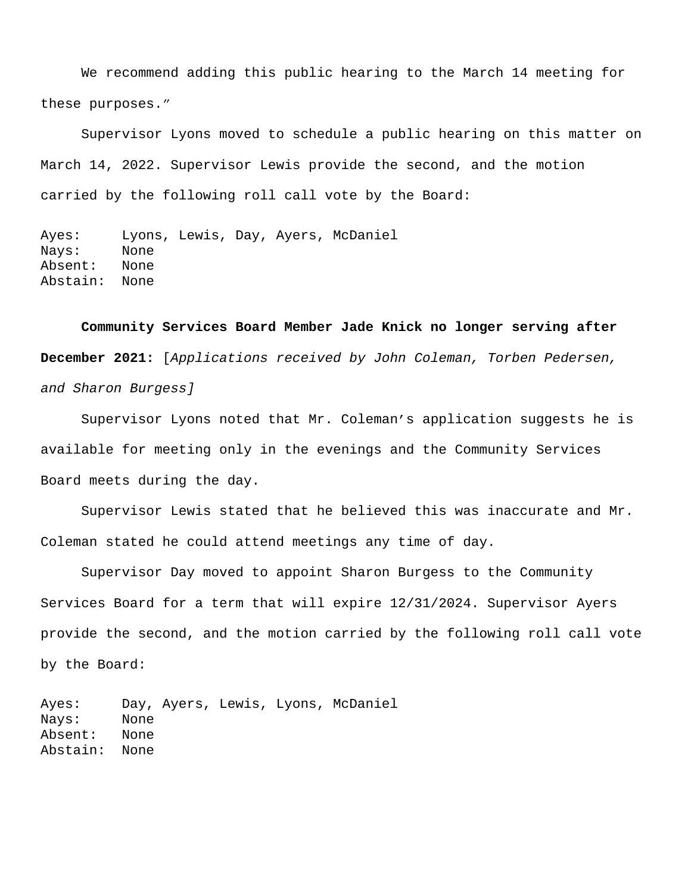We recommend adding this public hearing to the March 14 meeting for these purposes."

Supervisor Lyons moved to schedule a public hearing on this matter on March 14, 2022. Supervisor Lewis provide the second, and the motion carried by the following roll call vote by the Board:

Ayes: Lyons, Lewis, Day, Ayers, McDaniel Nays: None Absent: None Abstain: None

**Community Services Board Member Jade Knick no longer serving after December 2021:** [*Applications received by John Coleman, Torben Pedersen, and Sharon Burgess]*

Supervisor Lyons noted that Mr. Coleman's application suggests he is available for meeting only in the evenings and the Community Services Board meets during the day.

Supervisor Lewis stated that he believed this was inaccurate and Mr. Coleman stated he could attend meetings any time of day.

Supervisor Day moved to appoint Sharon Burgess to the Community Services Board for a term that will expire 12/31/2024. Supervisor Ayers provide the second, and the motion carried by the following roll call vote by the Board:

Ayes: Day, Ayers, Lewis, Lyons, McDaniel Nays: None Absent: None Abstain: None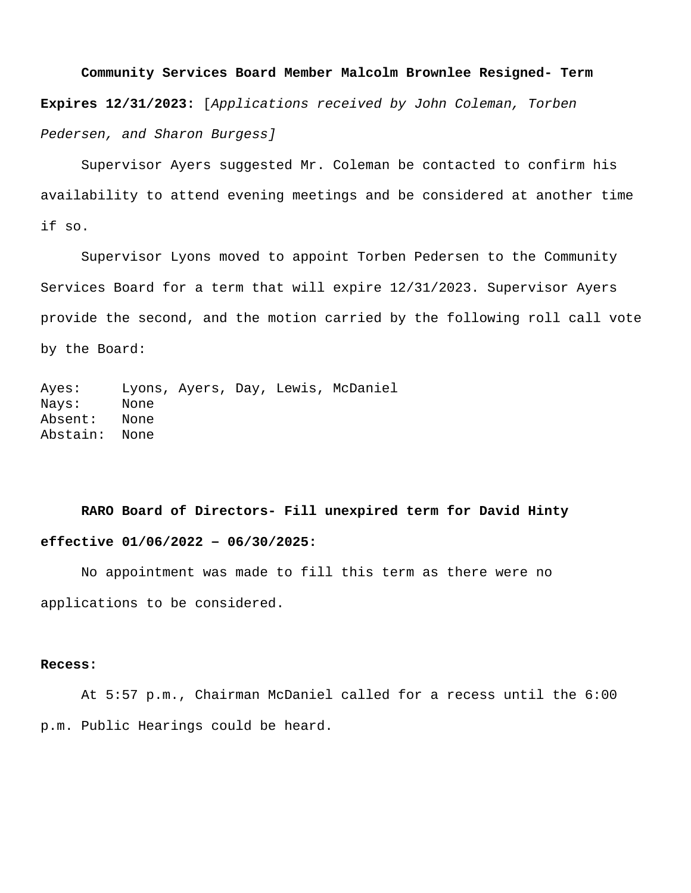**Community Services Board Member Malcolm Brownlee Resigned- Term Expires 12/31/2023:** [*Applications received by John Coleman, Torben Pedersen, and Sharon Burgess]*

Supervisor Ayers suggested Mr. Coleman be contacted to confirm his availability to attend evening meetings and be considered at another time if so.

Supervisor Lyons moved to appoint Torben Pedersen to the Community Services Board for a term that will expire 12/31/2023. Supervisor Ayers provide the second, and the motion carried by the following roll call vote by the Board:

Ayes: Lyons, Ayers, Day, Lewis, McDaniel Nays: None Absent: None Abstain: None

# **RARO Board of Directors- Fill unexpired term for David Hinty effective 01/06/2022 – 06/30/2025:**

No appointment was made to fill this term as there were no applications to be considered.

## **Recess:**

At 5:57 p.m., Chairman McDaniel called for a recess until the 6:00 p.m. Public Hearings could be heard.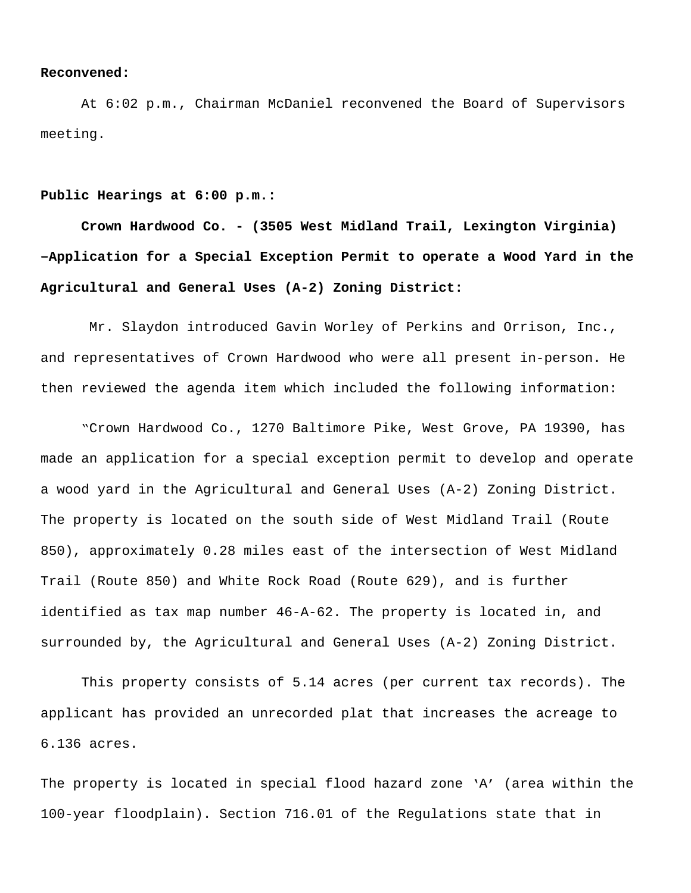#### **Reconvened:**

At 6:02 p.m., Chairman McDaniel reconvened the Board of Supervisors meeting.

#### **Public Hearings at 6:00 p.m.:**

**Crown Hardwood Co. - (3505 West Midland Trail, Lexington Virginia) –Application for a Special Exception Permit to operate a Wood Yard in the Agricultural and General Uses (A-2) Zoning District:**

Mr. Slaydon introduced Gavin Worley of Perkins and Orrison, Inc., and representatives of Crown Hardwood who were all present in-person. He then reviewed the agenda item which included the following information:

"Crown Hardwood Co., 1270 Baltimore Pike, West Grove, PA 19390, has made an application for a special exception permit to develop and operate a wood yard in the Agricultural and General Uses (A-2) Zoning District. The property is located on the south side of West Midland Trail (Route 850), approximately 0.28 miles east of the intersection of West Midland Trail (Route 850) and White Rock Road (Route 629), and is further identified as tax map number 46-A-62. The property is located in, and surrounded by, the Agricultural and General Uses (A-2) Zoning District.

This property consists of 5.14 acres (per current tax records). The applicant has provided an unrecorded plat that increases the acreage to 6.136 acres.

The property is located in special flood hazard zone 'A' (area within the 100-year floodplain). Section 716.01 of the Regulations state that in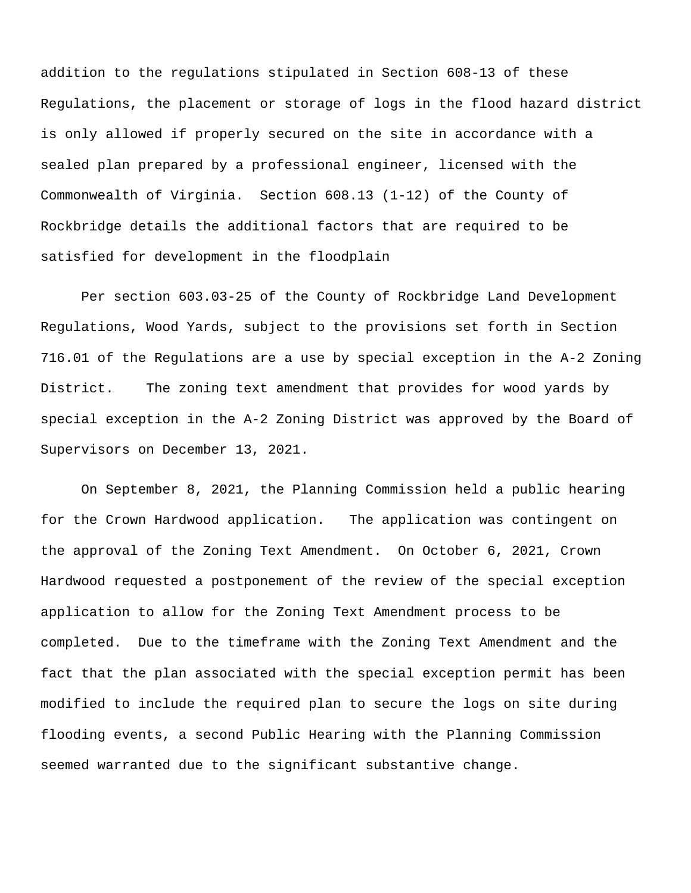addition to the regulations stipulated in Section 608-13 of these Regulations, the placement or storage of logs in the flood hazard district is only allowed if properly secured on the site in accordance with a sealed plan prepared by a professional engineer, licensed with the Commonwealth of Virginia. Section 608.13 (1-12) of the County of Rockbridge details the additional factors that are required to be satisfied for development in the floodplain

Per section 603.03-25 of the County of Rockbridge Land Development Regulations, Wood Yards, subject to the provisions set forth in Section 716.01 of the Regulations are a use by special exception in the A-2 Zoning District. The zoning text amendment that provides for wood yards by special exception in the A-2 Zoning District was approved by the Board of Supervisors on December 13, 2021.

On September 8, 2021, the Planning Commission held a public hearing for the Crown Hardwood application. The application was contingent on the approval of the Zoning Text Amendment. On October 6, 2021, Crown Hardwood requested a postponement of the review of the special exception application to allow for the Zoning Text Amendment process to be completed. Due to the timeframe with the Zoning Text Amendment and the fact that the plan associated with the special exception permit has been modified to include the required plan to secure the logs on site during flooding events, a second Public Hearing with the Planning Commission seemed warranted due to the significant substantive change.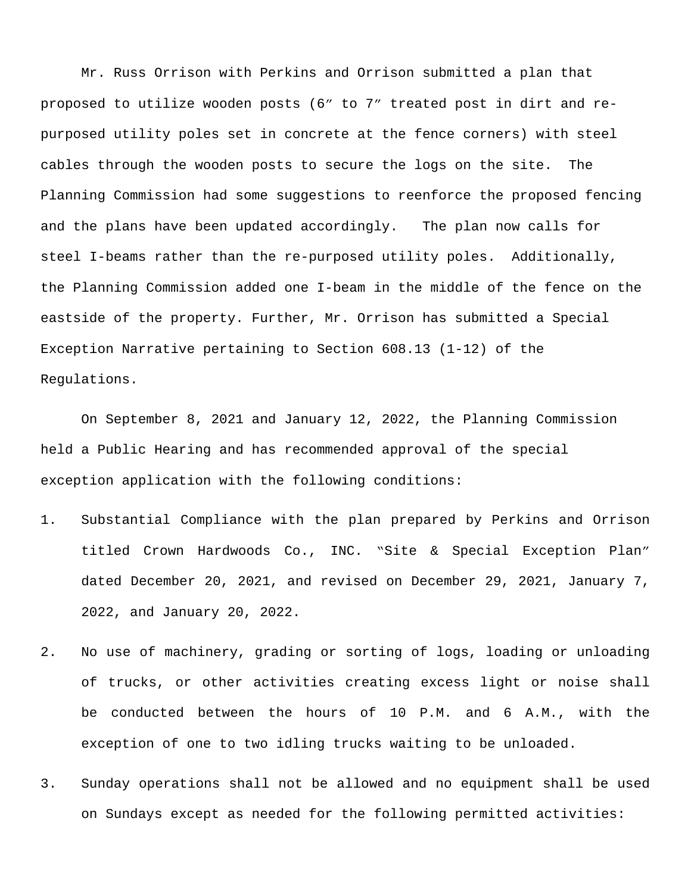Mr. Russ Orrison with Perkins and Orrison submitted a plan that proposed to utilize wooden posts (6" to 7" treated post in dirt and repurposed utility poles set in concrete at the fence corners) with steel cables through the wooden posts to secure the logs on the site. The Planning Commission had some suggestions to reenforce the proposed fencing and the plans have been updated accordingly. The plan now calls for steel I-beams rather than the re-purposed utility poles. Additionally, the Planning Commission added one I-beam in the middle of the fence on the eastside of the property. Further, Mr. Orrison has submitted a Special Exception Narrative pertaining to Section 608.13 (1-12) of the Regulations.

On September 8, 2021 and January 12, 2022, the Planning Commission held a Public Hearing and has recommended approval of the special exception application with the following conditions:

- 1. Substantial Compliance with the plan prepared by Perkins and Orrison titled Crown Hardwoods Co., INC. "Site & Special Exception Plan" dated December 20, 2021, and revised on December 29, 2021, January 7, 2022, and January 20, 2022.
- 2. No use of machinery, grading or sorting of logs, loading or unloading of trucks, or other activities creating excess light or noise shall be conducted between the hours of 10 P.M. and 6 A.M., with the exception of one to two idling trucks waiting to be unloaded.
- 3. Sunday operations shall not be allowed and no equipment shall be used on Sundays except as needed for the following permitted activities: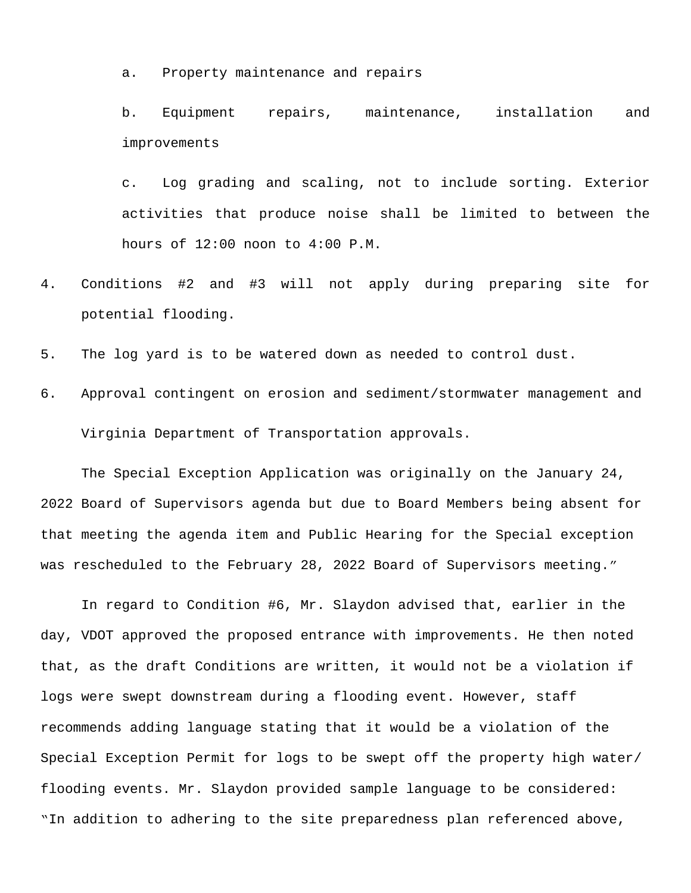a. Property maintenance and repairs

b. Equipment repairs, maintenance, installation and improvements

c. Log grading and scaling, not to include sorting. Exterior activities that produce noise shall be limited to between the hours of 12:00 noon to 4:00 P.M.

- 4. Conditions #2 and #3 will not apply during preparing site for potential flooding.
- 5. The log yard is to be watered down as needed to control dust.
- 6. Approval contingent on erosion and sediment/stormwater management and Virginia Department of Transportation approvals.

The Special Exception Application was originally on the January 24, 2022 Board of Supervisors agenda but due to Board Members being absent for that meeting the agenda item and Public Hearing for the Special exception was rescheduled to the February 28, 2022 Board of Supervisors meeting."

In regard to Condition #6, Mr. Slaydon advised that, earlier in the day, VDOT approved the proposed entrance with improvements. He then noted that, as the draft Conditions are written, it would not be a violation if logs were swept downstream during a flooding event. However, staff recommends adding language stating that it would be a violation of the Special Exception Permit for logs to be swept off the property high water/ flooding events. Mr. Slaydon provided sample language to be considered: "In addition to adhering to the site preparedness plan referenced above,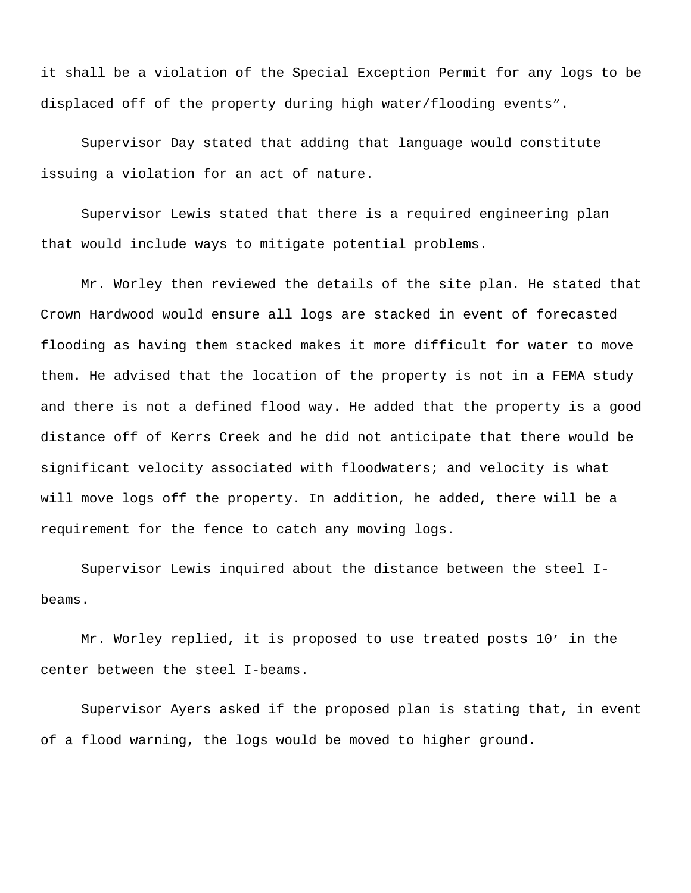it shall be a violation of the Special Exception Permit for any logs to be displaced off of the property during high water/flooding events".

Supervisor Day stated that adding that language would constitute issuing a violation for an act of nature.

Supervisor Lewis stated that there is a required engineering plan that would include ways to mitigate potential problems.

Mr. Worley then reviewed the details of the site plan. He stated that Crown Hardwood would ensure all logs are stacked in event of forecasted flooding as having them stacked makes it more difficult for water to move them. He advised that the location of the property is not in a FEMA study and there is not a defined flood way. He added that the property is a good distance off of Kerrs Creek and he did not anticipate that there would be significant velocity associated with floodwaters; and velocity is what will move logs off the property. In addition, he added, there will be a requirement for the fence to catch any moving logs.

Supervisor Lewis inquired about the distance between the steel Ibeams.

Mr. Worley replied, it is proposed to use treated posts 10' in the center between the steel I-beams.

Supervisor Ayers asked if the proposed plan is stating that, in event of a flood warning, the logs would be moved to higher ground.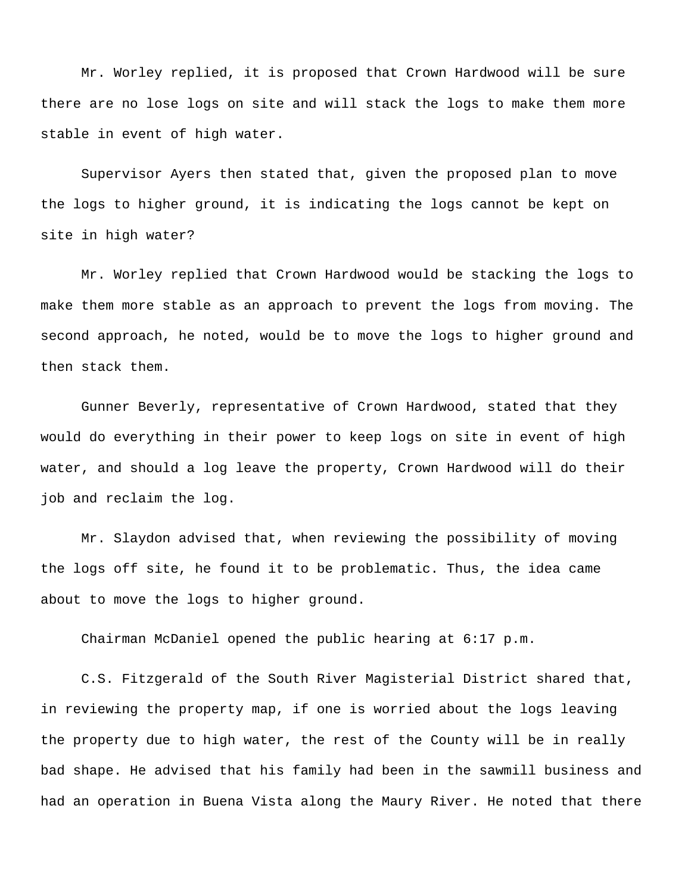Mr. Worley replied, it is proposed that Crown Hardwood will be sure there are no lose logs on site and will stack the logs to make them more stable in event of high water.

Supervisor Ayers then stated that, given the proposed plan to move the logs to higher ground, it is indicating the logs cannot be kept on site in high water?

Mr. Worley replied that Crown Hardwood would be stacking the logs to make them more stable as an approach to prevent the logs from moving. The second approach, he noted, would be to move the logs to higher ground and then stack them.

Gunner Beverly, representative of Crown Hardwood, stated that they would do everything in their power to keep logs on site in event of high water, and should a log leave the property, Crown Hardwood will do their job and reclaim the log.

Mr. Slaydon advised that, when reviewing the possibility of moving the logs off site, he found it to be problematic. Thus, the idea came about to move the logs to higher ground.

Chairman McDaniel opened the public hearing at 6:17 p.m.

C.S. Fitzgerald of the South River Magisterial District shared that, in reviewing the property map, if one is worried about the logs leaving the property due to high water, the rest of the County will be in really bad shape. He advised that his family had been in the sawmill business and had an operation in Buena Vista along the Maury River. He noted that there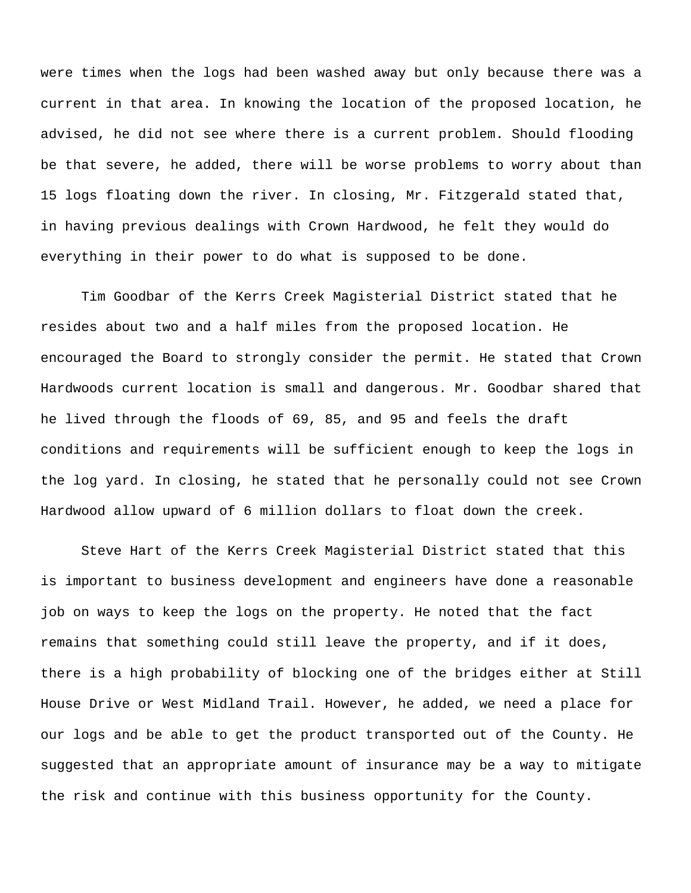were times when the logs had been washed away but only because there was a current in that area. In knowing the location of the proposed location, he advised, he did not see where there is a current problem. Should flooding be that severe, he added, there will be worse problems to worry about than 15 logs floating down the river. In closing, Mr. Fitzgerald stated that, in having previous dealings with Crown Hardwood, he felt they would do everything in their power to do what is supposed to be done.

Tim Goodbar of the Kerrs Creek Magisterial District stated that he resides about two and a half miles from the proposed location. He encouraged the Board to strongly consider the permit. He stated that Crown Hardwoods current location is small and dangerous. Mr. Goodbar shared that he lived through the floods of 69, 85, and 95 and feels the draft conditions and requirements will be sufficient enough to keep the logs in the log yard. In closing, he stated that he personally could not see Crown Hardwood allow upward of 6 million dollars to float down the creek.

Steve Hart of the Kerrs Creek Magisterial District stated that this is important to business development and engineers have done a reasonable job on ways to keep the logs on the property. He noted that the fact remains that something could still leave the property, and if it does, there is a high probability of blocking one of the bridges either at Still House Drive or West Midland Trail. However, he added, we need a place for our logs and be able to get the product transported out of the County. He suggested that an appropriate amount of insurance may be a way to mitigate the risk and continue with this business opportunity for the County.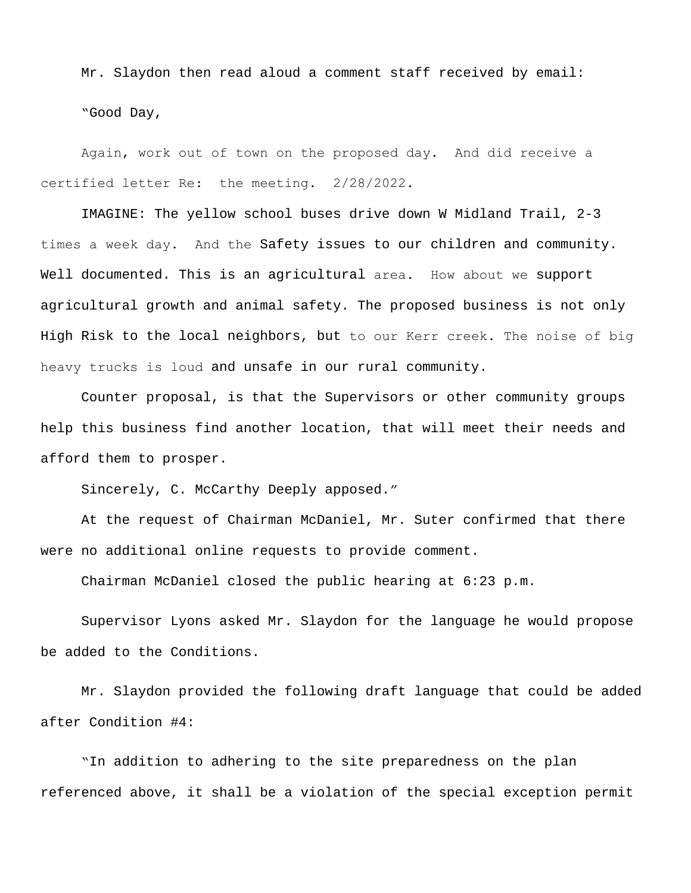Mr. Slaydon then read aloud a comment staff received by email: "Good Day,

Again, work out of town on the proposed day. And did receive a certified letter Re: the meeting. 2/28/2022.

IMAGINE: The yellow school buses drive down W Midland Trail, 2-3 times a week day. And the Safety issues to our children and community. Well documented. This is an agricultural area. How about we support agricultural growth and animal safety. The proposed business is not only High Risk to the local neighbors, but to our Kerr creek. The noise of big heavy trucks is loud and unsafe in our rural community.

Counter proposal, is that the Supervisors or other community groups help this business find another location, that will meet their needs and afford them to prosper.

Sincerely, C. McCarthy Deeply apposed."

At the request of Chairman McDaniel, Mr. Suter confirmed that there were no additional online requests to provide comment.

Chairman McDaniel closed the public hearing at 6:23 p.m.

Supervisor Lyons asked Mr. Slaydon for the language he would propose be added to the Conditions.

Mr. Slaydon provided the following draft language that could be added after Condition #4:

"In addition to adhering to the site preparedness on the plan referenced above, it shall be a violation of the special exception permit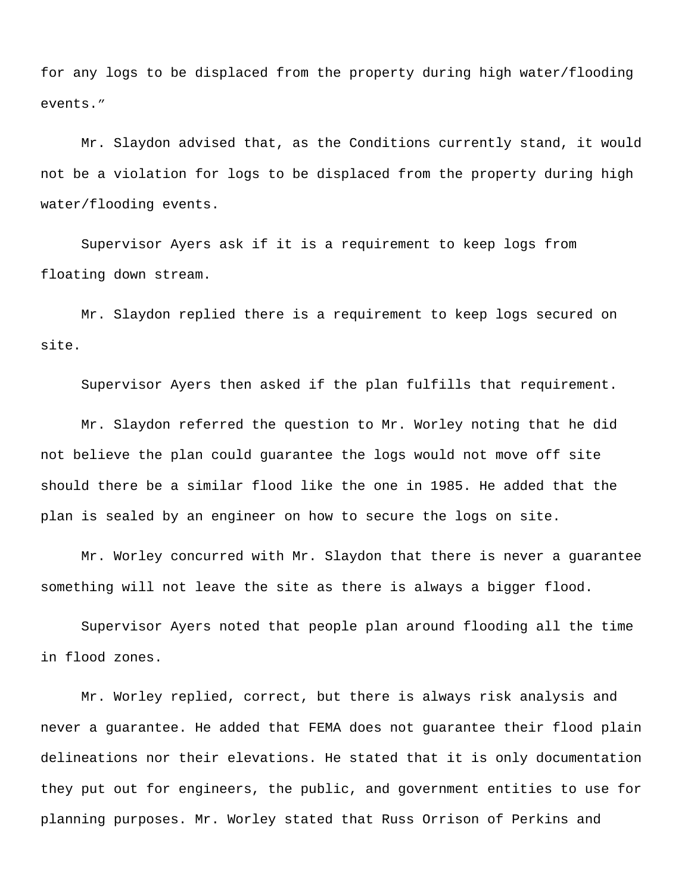for any logs to be displaced from the property during high water/flooding events."

Mr. Slaydon advised that, as the Conditions currently stand, it would not be a violation for logs to be displaced from the property during high water/flooding events.

Supervisor Ayers ask if it is a requirement to keep logs from floating down stream.

Mr. Slaydon replied there is a requirement to keep logs secured on site.

Supervisor Ayers then asked if the plan fulfills that requirement.

Mr. Slaydon referred the question to Mr. Worley noting that he did not believe the plan could guarantee the logs would not move off site should there be a similar flood like the one in 1985. He added that the plan is sealed by an engineer on how to secure the logs on site.

Mr. Worley concurred with Mr. Slaydon that there is never a guarantee something will not leave the site as there is always a bigger flood.

Supervisor Ayers noted that people plan around flooding all the time in flood zones.

Mr. Worley replied, correct, but there is always risk analysis and never a guarantee. He added that FEMA does not guarantee their flood plain delineations nor their elevations. He stated that it is only documentation they put out for engineers, the public, and government entities to use for planning purposes. Mr. Worley stated that Russ Orrison of Perkins and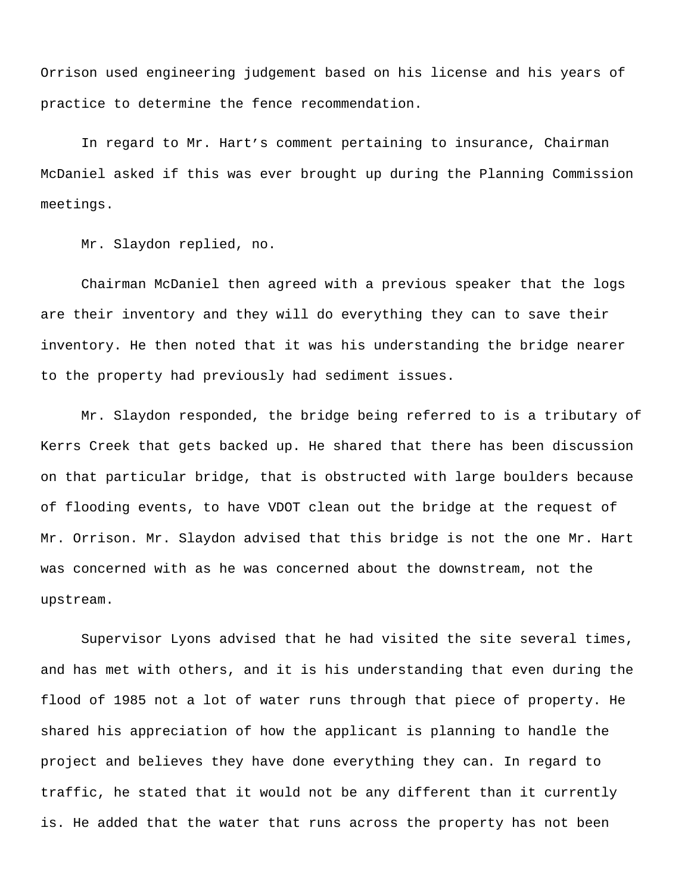Orrison used engineering judgement based on his license and his years of practice to determine the fence recommendation.

In regard to Mr. Hart's comment pertaining to insurance, Chairman McDaniel asked if this was ever brought up during the Planning Commission meetings.

Mr. Slaydon replied, no.

Chairman McDaniel then agreed with a previous speaker that the logs are their inventory and they will do everything they can to save their inventory. He then noted that it was his understanding the bridge nearer to the property had previously had sediment issues.

Mr. Slaydon responded, the bridge being referred to is a tributary of Kerrs Creek that gets backed up. He shared that there has been discussion on that particular bridge, that is obstructed with large boulders because of flooding events, to have VDOT clean out the bridge at the request of Mr. Orrison. Mr. Slaydon advised that this bridge is not the one Mr. Hart was concerned with as he was concerned about the downstream, not the upstream.

Supervisor Lyons advised that he had visited the site several times, and has met with others, and it is his understanding that even during the flood of 1985 not a lot of water runs through that piece of property. He shared his appreciation of how the applicant is planning to handle the project and believes they have done everything they can. In regard to traffic, he stated that it would not be any different than it currently is. He added that the water that runs across the property has not been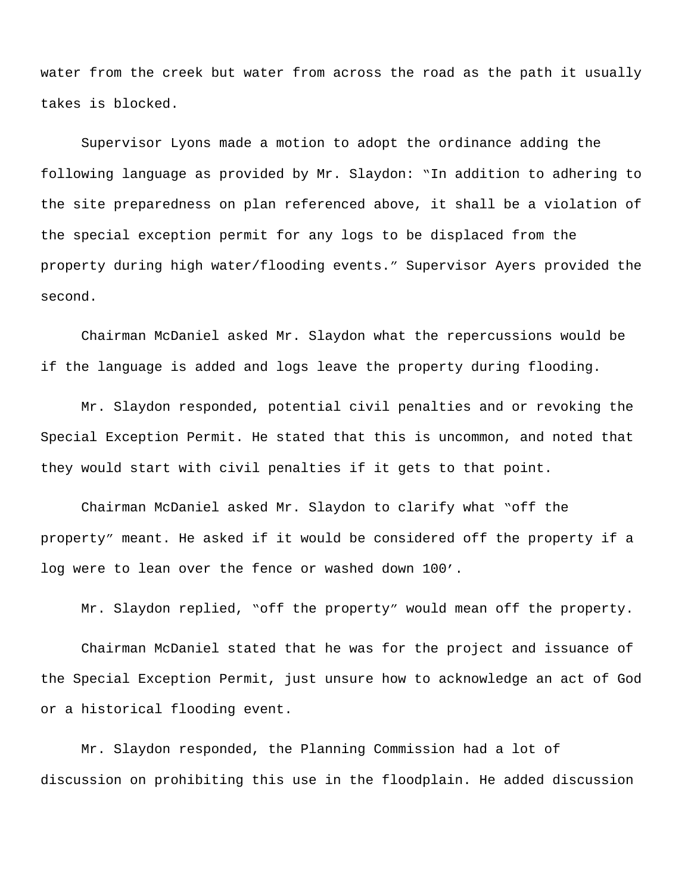water from the creek but water from across the road as the path it usually takes is blocked.

Supervisor Lyons made a motion to adopt the ordinance adding the following language as provided by Mr. Slaydon: "In addition to adhering to the site preparedness on plan referenced above, it shall be a violation of the special exception permit for any logs to be displaced from the property during high water/flooding events." Supervisor Ayers provided the second.

Chairman McDaniel asked Mr. Slaydon what the repercussions would be if the language is added and logs leave the property during flooding.

Mr. Slaydon responded, potential civil penalties and or revoking the Special Exception Permit. He stated that this is uncommon, and noted that they would start with civil penalties if it gets to that point.

Chairman McDaniel asked Mr. Slaydon to clarify what "off the property" meant. He asked if it would be considered off the property if a log were to lean over the fence or washed down 100'.

Mr. Slaydon replied, "off the property" would mean off the property.

Chairman McDaniel stated that he was for the project and issuance of the Special Exception Permit, just unsure how to acknowledge an act of God or a historical flooding event.

Mr. Slaydon responded, the Planning Commission had a lot of discussion on prohibiting this use in the floodplain. He added discussion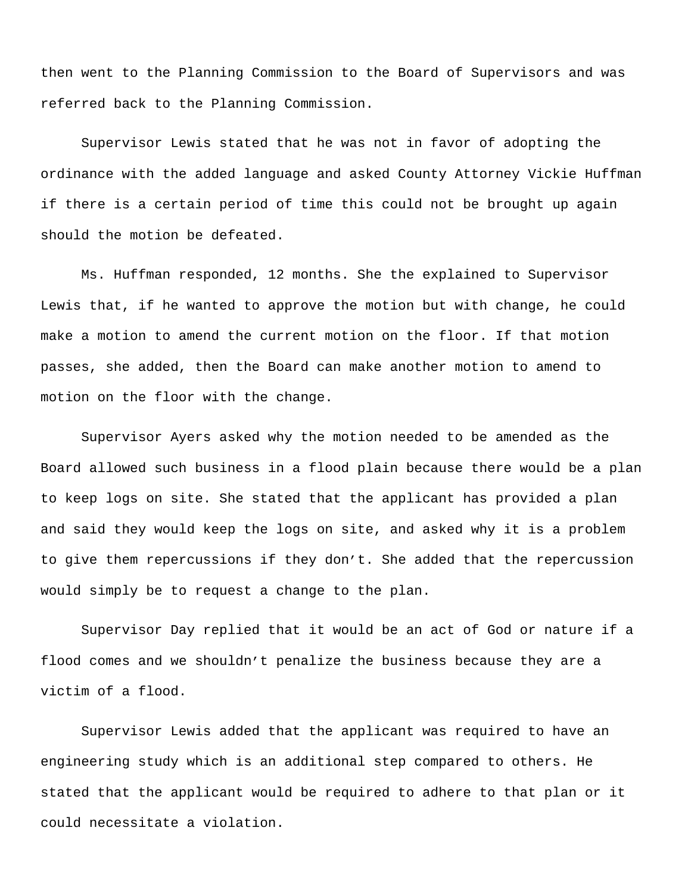then went to the Planning Commission to the Board of Supervisors and was referred back to the Planning Commission.

Supervisor Lewis stated that he was not in favor of adopting the ordinance with the added language and asked County Attorney Vickie Huffman if there is a certain period of time this could not be brought up again should the motion be defeated.

Ms. Huffman responded, 12 months. She the explained to Supervisor Lewis that, if he wanted to approve the motion but with change, he could make a motion to amend the current motion on the floor. If that motion passes, she added, then the Board can make another motion to amend to motion on the floor with the change.

Supervisor Ayers asked why the motion needed to be amended as the Board allowed such business in a flood plain because there would be a plan to keep logs on site. She stated that the applicant has provided a plan and said they would keep the logs on site, and asked why it is a problem to give them repercussions if they don't. She added that the repercussion would simply be to request a change to the plan.

Supervisor Day replied that it would be an act of God or nature if a flood comes and we shouldn't penalize the business because they are a victim of a flood.

Supervisor Lewis added that the applicant was required to have an engineering study which is an additional step compared to others. He stated that the applicant would be required to adhere to that plan or it could necessitate a violation.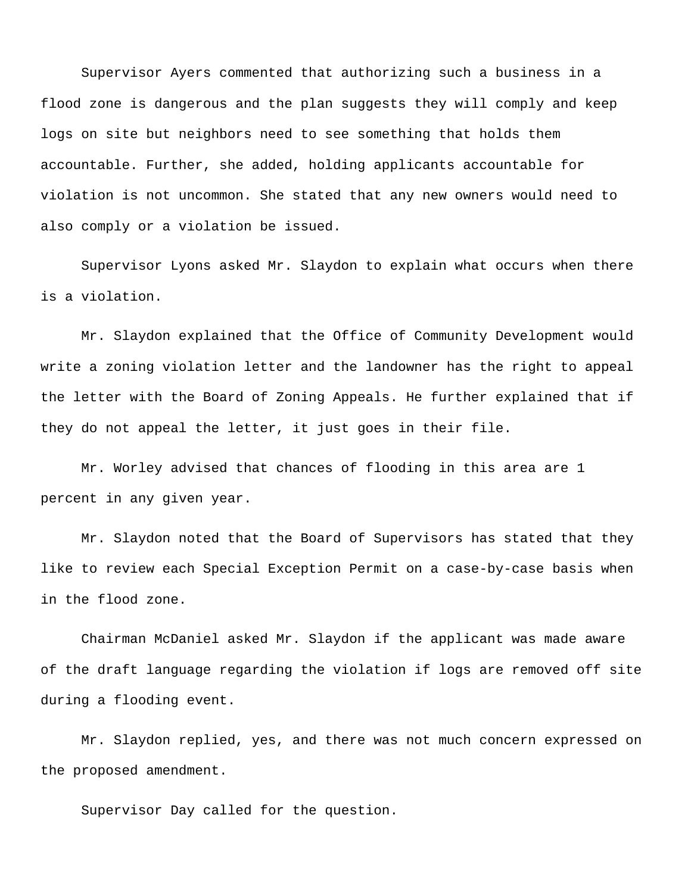Supervisor Ayers commented that authorizing such a business in a flood zone is dangerous and the plan suggests they will comply and keep logs on site but neighbors need to see something that holds them accountable. Further, she added, holding applicants accountable for violation is not uncommon. She stated that any new owners would need to also comply or a violation be issued.

Supervisor Lyons asked Mr. Slaydon to explain what occurs when there is a violation.

Mr. Slaydon explained that the Office of Community Development would write a zoning violation letter and the landowner has the right to appeal the letter with the Board of Zoning Appeals. He further explained that if they do not appeal the letter, it just goes in their file.

Mr. Worley advised that chances of flooding in this area are 1 percent in any given year.

Mr. Slaydon noted that the Board of Supervisors has stated that they like to review each Special Exception Permit on a case-by-case basis when in the flood zone.

Chairman McDaniel asked Mr. Slaydon if the applicant was made aware of the draft language regarding the violation if logs are removed off site during a flooding event.

Mr. Slaydon replied, yes, and there was not much concern expressed on the proposed amendment.

Supervisor Day called for the question.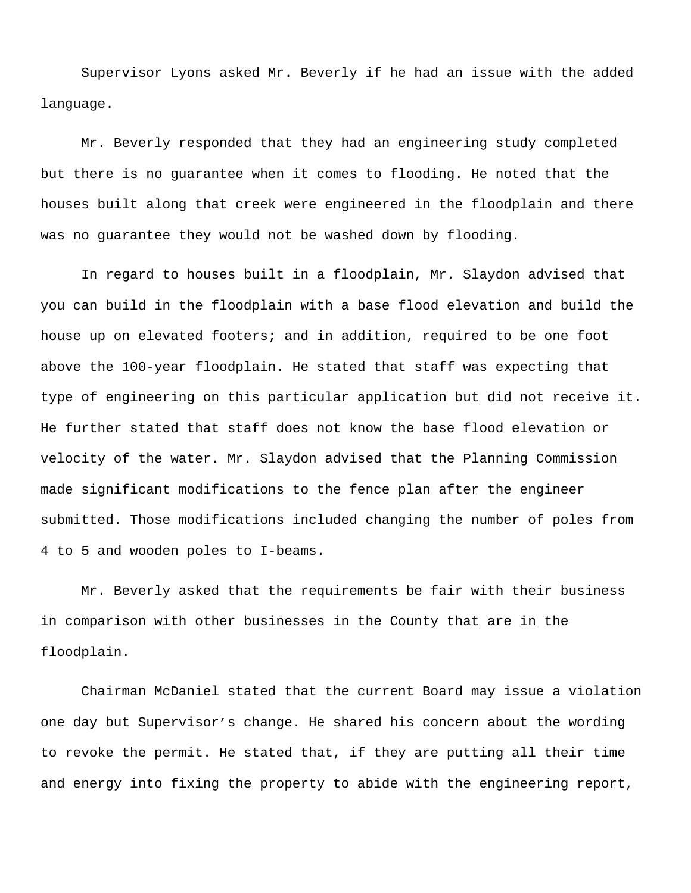Supervisor Lyons asked Mr. Beverly if he had an issue with the added language.

Mr. Beverly responded that they had an engineering study completed but there is no guarantee when it comes to flooding. He noted that the houses built along that creek were engineered in the floodplain and there was no guarantee they would not be washed down by flooding.

In regard to houses built in a floodplain, Mr. Slaydon advised that you can build in the floodplain with a base flood elevation and build the house up on elevated footers; and in addition, required to be one foot above the 100-year floodplain. He stated that staff was expecting that type of engineering on this particular application but did not receive it. He further stated that staff does not know the base flood elevation or velocity of the water. Mr. Slaydon advised that the Planning Commission made significant modifications to the fence plan after the engineer submitted. Those modifications included changing the number of poles from 4 to 5 and wooden poles to I-beams.

Mr. Beverly asked that the requirements be fair with their business in comparison with other businesses in the County that are in the floodplain.

Chairman McDaniel stated that the current Board may issue a violation one day but Supervisor's change. He shared his concern about the wording to revoke the permit. He stated that, if they are putting all their time and energy into fixing the property to abide with the engineering report,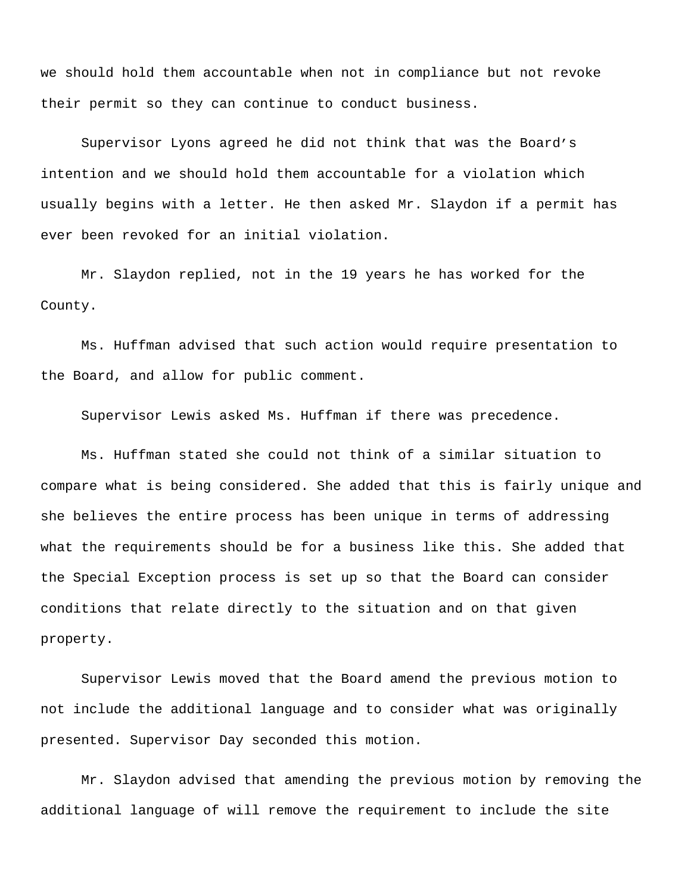we should hold them accountable when not in compliance but not revoke their permit so they can continue to conduct business.

Supervisor Lyons agreed he did not think that was the Board's intention and we should hold them accountable for a violation which usually begins with a letter. He then asked Mr. Slaydon if a permit has ever been revoked for an initial violation.

Mr. Slaydon replied, not in the 19 years he has worked for the County.

Ms. Huffman advised that such action would require presentation to the Board, and allow for public comment.

Supervisor Lewis asked Ms. Huffman if there was precedence.

Ms. Huffman stated she could not think of a similar situation to compare what is being considered. She added that this is fairly unique and she believes the entire process has been unique in terms of addressing what the requirements should be for a business like this. She added that the Special Exception process is set up so that the Board can consider conditions that relate directly to the situation and on that given property.

Supervisor Lewis moved that the Board amend the previous motion to not include the additional language and to consider what was originally presented. Supervisor Day seconded this motion.

Mr. Slaydon advised that amending the previous motion by removing the additional language of will remove the requirement to include the site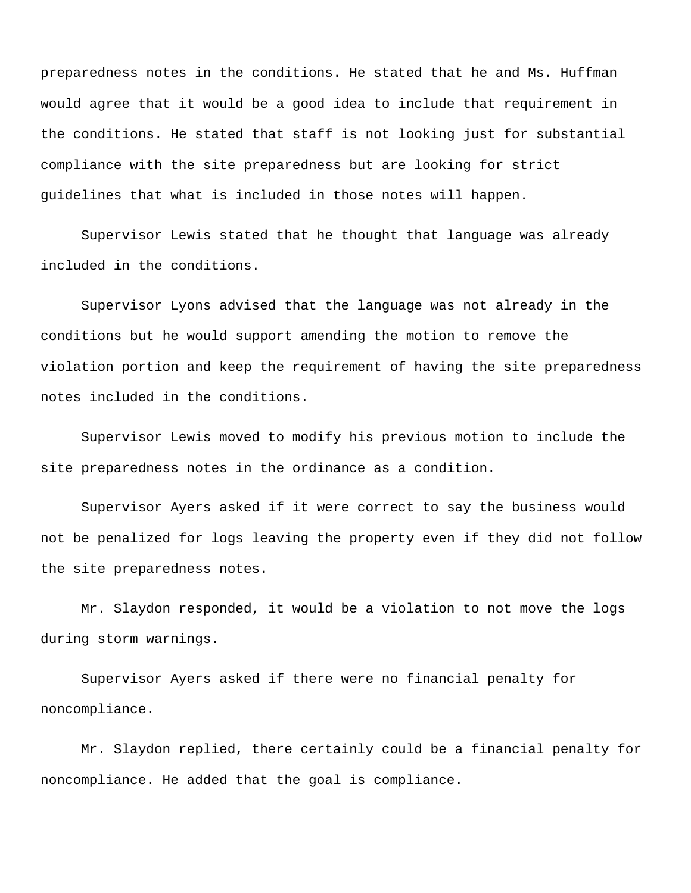preparedness notes in the conditions. He stated that he and Ms. Huffman would agree that it would be a good idea to include that requirement in the conditions. He stated that staff is not looking just for substantial compliance with the site preparedness but are looking for strict guidelines that what is included in those notes will happen.

Supervisor Lewis stated that he thought that language was already included in the conditions.

Supervisor Lyons advised that the language was not already in the conditions but he would support amending the motion to remove the violation portion and keep the requirement of having the site preparedness notes included in the conditions.

Supervisor Lewis moved to modify his previous motion to include the site preparedness notes in the ordinance as a condition.

Supervisor Ayers asked if it were correct to say the business would not be penalized for logs leaving the property even if they did not follow the site preparedness notes.

Mr. Slaydon responded, it would be a violation to not move the logs during storm warnings.

Supervisor Ayers asked if there were no financial penalty for noncompliance.

Mr. Slaydon replied, there certainly could be a financial penalty for noncompliance. He added that the goal is compliance.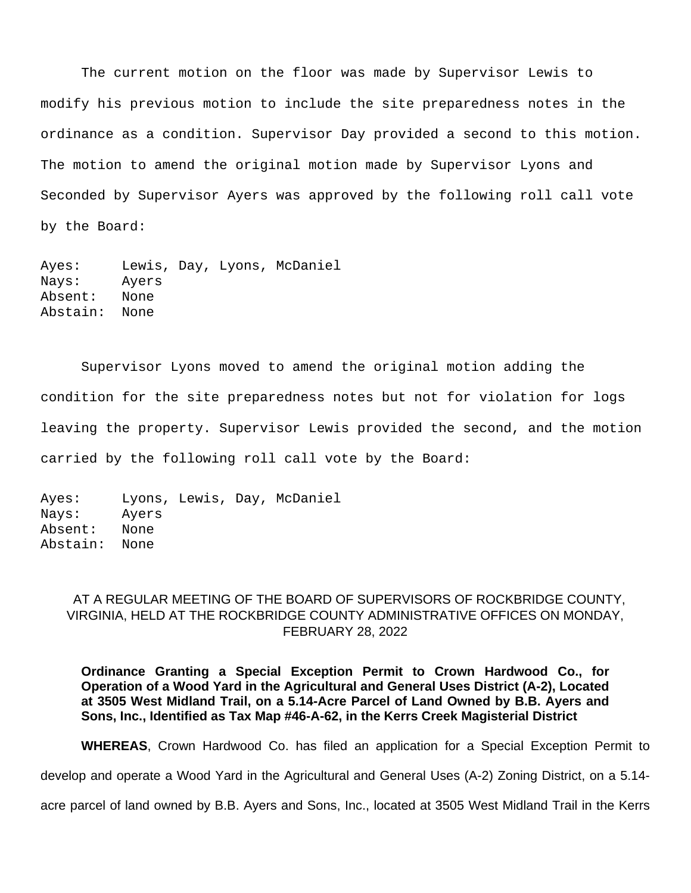The current motion on the floor was made by Supervisor Lewis to modify his previous motion to include the site preparedness notes in the ordinance as a condition. Supervisor Day provided a second to this motion. The motion to amend the original motion made by Supervisor Lyons and Seconded by Supervisor Ayers was approved by the following roll call vote by the Board:

Ayes: Lewis, Day, Lyons, McDaniel Nays: Ayers Absent: None Abstain: None

Supervisor Lyons moved to amend the original motion adding the condition for the site preparedness notes but not for violation for logs leaving the property. Supervisor Lewis provided the second, and the motion carried by the following roll call vote by the Board:

```
Ayes: Lyons, Lewis, Day, McDaniel 
Nays: Ayers
Absent: None
Abstain: None
```
# AT A REGULAR MEETING OF THE BOARD OF SUPERVISORS OF ROCKBRIDGE COUNTY, VIRGINIA, HELD AT THE ROCKBRIDGE COUNTY ADMINISTRATIVE OFFICES ON MONDAY, FEBRUARY 28, 2022

**Ordinance Granting a Special Exception Permit to Crown Hardwood Co., for Operation of a Wood Yard in the Agricultural and General Uses District (A-2), Located at 3505 West Midland Trail, on a 5.14-Acre Parcel of Land Owned by B.B. Ayers and Sons, Inc., Identified as Tax Map #46-A-62, in the Kerrs Creek Magisterial District**

**WHEREAS**, Crown Hardwood Co. has filed an application for a Special Exception Permit to

develop and operate a Wood Yard in the Agricultural and General Uses (A-2) Zoning District, on a 5.14-

acre parcel of land owned by B.B. Ayers and Sons, Inc., located at 3505 West Midland Trail in the Kerrs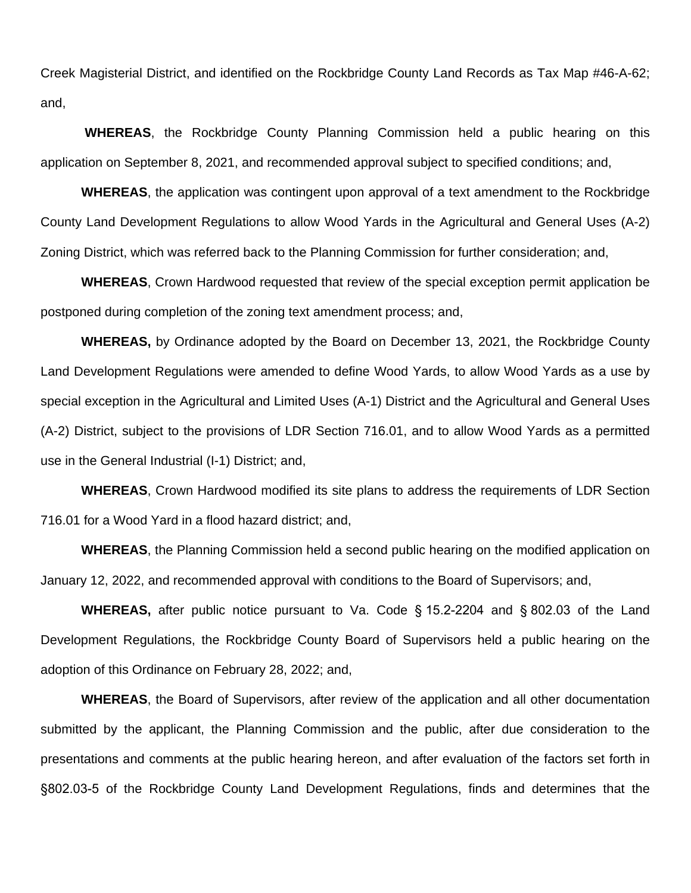Creek Magisterial District, and identified on the Rockbridge County Land Records as Tax Map #46-A-62; and,

**WHEREAS**, the Rockbridge County Planning Commission held a public hearing on this application on September 8, 2021, and recommended approval subject to specified conditions; and,

**WHEREAS**, the application was contingent upon approval of a text amendment to the Rockbridge County Land Development Regulations to allow Wood Yards in the Agricultural and General Uses (A-2) Zoning District, which was referred back to the Planning Commission for further consideration; and,

**WHEREAS**, Crown Hardwood requested that review of the special exception permit application be postponed during completion of the zoning text amendment process; and,

**WHEREAS,** by Ordinance adopted by the Board on December 13, 2021, the Rockbridge County Land Development Regulations were amended to define Wood Yards, to allow Wood Yards as a use by special exception in the Agricultural and Limited Uses (A-1) District and the Agricultural and General Uses (A-2) District, subject to the provisions of LDR Section 716.01, and to allow Wood Yards as a permitted use in the General Industrial (I-1) District; and,

**WHEREAS**, Crown Hardwood modified its site plans to address the requirements of LDR Section 716.01 for a Wood Yard in a flood hazard district; and,

**WHEREAS**, the Planning Commission held a second public hearing on the modified application on January 12, 2022, and recommended approval with conditions to the Board of Supervisors; and,

**WHEREAS,** after public notice pursuant to Va. Code § 15.2-2204 and § 802.03 of the Land Development Regulations, the Rockbridge County Board of Supervisors held a public hearing on the adoption of this Ordinance on February 28, 2022; and,

**WHEREAS**, the Board of Supervisors, after review of the application and all other documentation submitted by the applicant, the Planning Commission and the public, after due consideration to the presentations and comments at the public hearing hereon, and after evaluation of the factors set forth in §802.03-5 of the Rockbridge County Land Development Regulations, finds and determines that the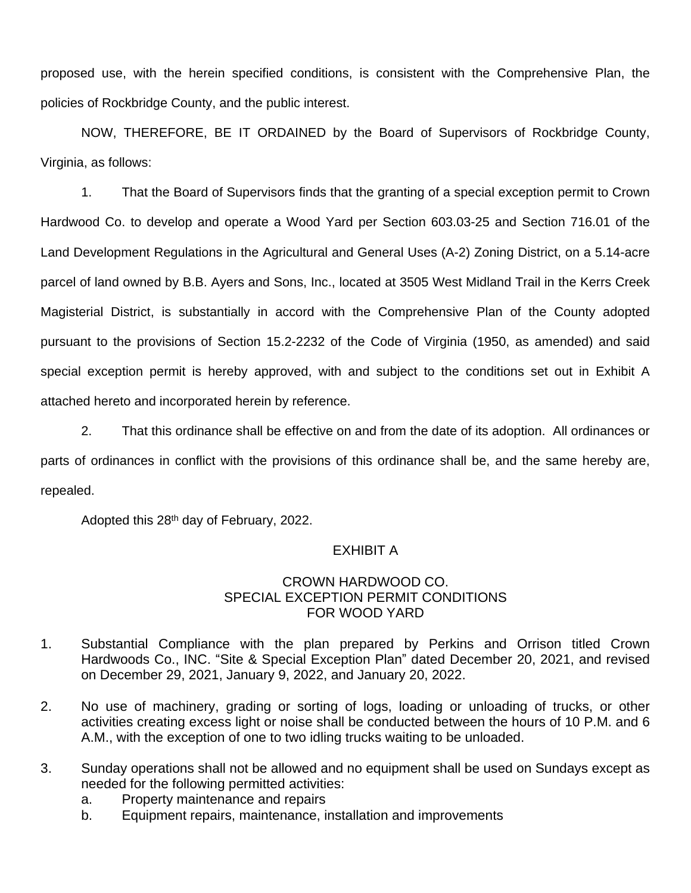proposed use, with the herein specified conditions, is consistent with the Comprehensive Plan, the policies of Rockbridge County, and the public interest.

NOW, THEREFORE, BE IT ORDAINED by the Board of Supervisors of Rockbridge County, Virginia, as follows:

1. That the Board of Supervisors finds that the granting of a special exception permit to Crown Hardwood Co. to develop and operate a Wood Yard per Section 603.03-25 and Section 716.01 of the Land Development Regulations in the Agricultural and General Uses (A-2) Zoning District, on a 5.14-acre parcel of land owned by B.B. Ayers and Sons, Inc., located at 3505 West Midland Trail in the Kerrs Creek Magisterial District, is substantially in accord with the Comprehensive Plan of the County adopted pursuant to the provisions of Section 15.2-2232 of the Code of Virginia (1950, as amended) and said special exception permit is hereby approved, with and subject to the conditions set out in Exhibit A attached hereto and incorporated herein by reference.

2. That this ordinance shall be effective on and from the date of its adoption. All ordinances or parts of ordinances in conflict with the provisions of this ordinance shall be, and the same hereby are, repealed.

Adopted this 28th day of February, 2022.

# EXHIBIT A

# CROWN HARDWOOD CO. SPECIAL EXCEPTION PERMIT CONDITIONS FOR WOOD YARD

- 1. Substantial Compliance with the plan prepared by Perkins and Orrison titled Crown Hardwoods Co., INC. "Site & Special Exception Plan" dated December 20, 2021, and revised on December 29, 2021, January 9, 2022, and January 20, 2022.
- 2. No use of machinery, grading or sorting of logs, loading or unloading of trucks, or other activities creating excess light or noise shall be conducted between the hours of 10 P.M. and 6 A.M., with the exception of one to two idling trucks waiting to be unloaded.
- 3. Sunday operations shall not be allowed and no equipment shall be used on Sundays except as needed for the following permitted activities:
	- a. Property maintenance and repairs
	- b. Equipment repairs, maintenance, installation and improvements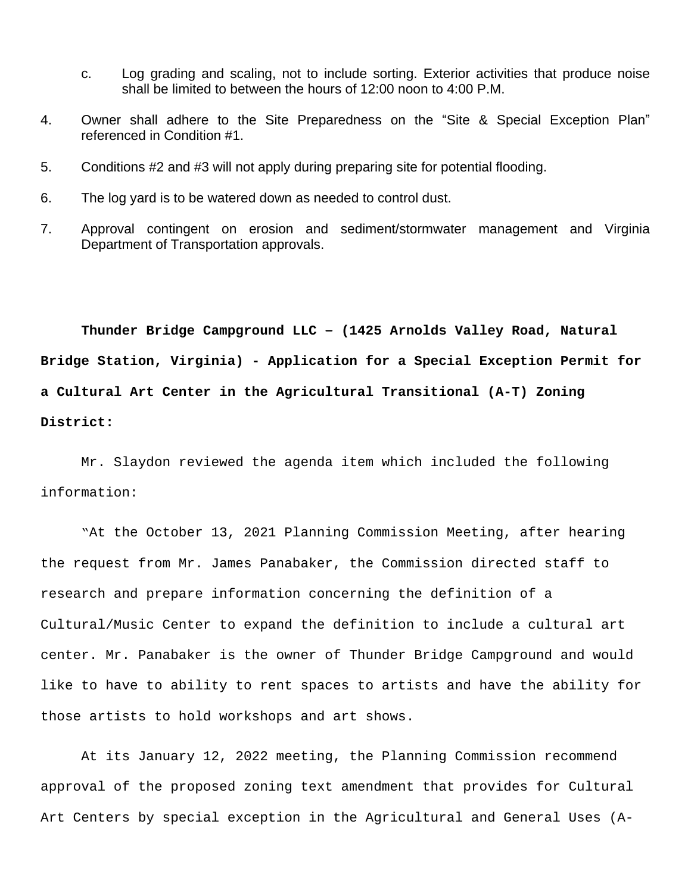- c. Log grading and scaling, not to include sorting. Exterior activities that produce noise shall be limited to between the hours of 12:00 noon to 4:00 P.M.
- 4. Owner shall adhere to the Site Preparedness on the "Site & Special Exception Plan" referenced in Condition #1.
- 5. Conditions #2 and #3 will not apply during preparing site for potential flooding.
- 6. The log yard is to be watered down as needed to control dust.
- 7. Approval contingent on erosion and sediment/stormwater management and Virginia Department of Transportation approvals.

**Thunder Bridge Campground LLC – (1425 Arnolds Valley Road, Natural Bridge Station, Virginia) - Application for a Special Exception Permit for a Cultural Art Center in the Agricultural Transitional (A-T) Zoning District:**

Mr. Slaydon reviewed the agenda item which included the following information:

"At the October 13, 2021 Planning Commission Meeting, after hearing the request from Mr. James Panabaker, the Commission directed staff to research and prepare information concerning the definition of a Cultural/Music Center to expand the definition to include a cultural art center. Mr. Panabaker is the owner of Thunder Bridge Campground and would like to have to ability to rent spaces to artists and have the ability for those artists to hold workshops and art shows.

At its January 12, 2022 meeting, the Planning Commission recommend approval of the proposed zoning text amendment that provides for Cultural Art Centers by special exception in the Agricultural and General Uses (A-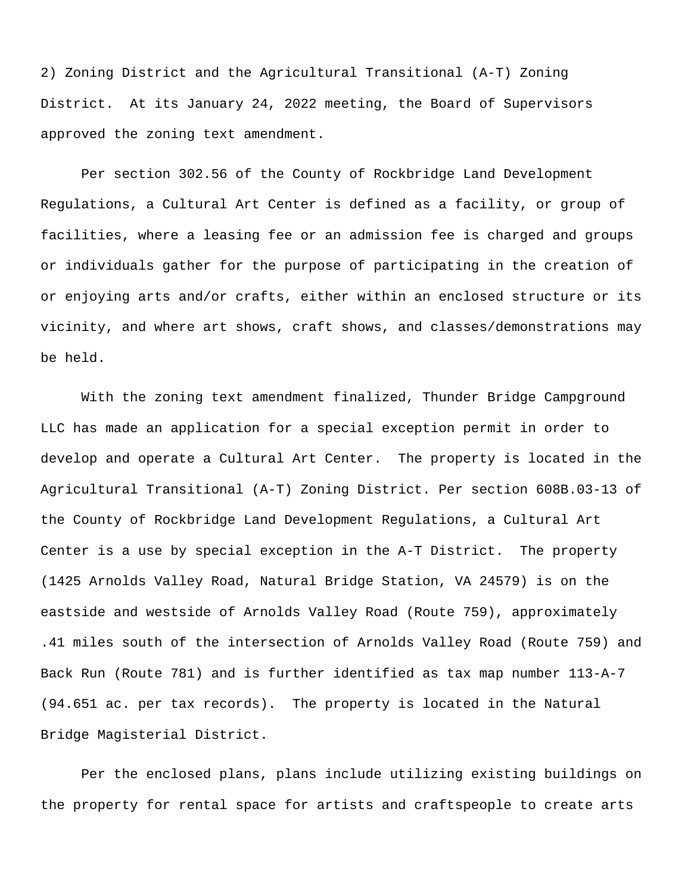2) Zoning District and the Agricultural Transitional (A-T) Zoning District. At its January 24, 2022 meeting, the Board of Supervisors approved the zoning text amendment.

Per section 302.56 of the County of Rockbridge Land Development Regulations, a Cultural Art Center is defined as a facility, or group of facilities, where a leasing fee or an admission fee is charged and groups or individuals gather for the purpose of participating in the creation of or enjoying arts and/or crafts, either within an enclosed structure or its vicinity, and where art shows, craft shows, and classes/demonstrations may be held.

With the zoning text amendment finalized, Thunder Bridge Campground LLC has made an application for a special exception permit in order to develop and operate a Cultural Art Center. The property is located in the Agricultural Transitional (A-T) Zoning District. Per section 608B.03-13 of the County of Rockbridge Land Development Regulations, a Cultural Art Center is a use by special exception in the A-T District. The property (1425 Arnolds Valley Road, Natural Bridge Station, VA 24579) is on the eastside and westside of Arnolds Valley Road (Route 759), approximately .41 miles south of the intersection of Arnolds Valley Road (Route 759) and Back Run (Route 781) and is further identified as tax map number 113-A-7 (94.651 ac. per tax records). The property is located in the Natural Bridge Magisterial District.

Per the enclosed plans, plans include utilizing existing buildings on the property for rental space for artists and craftspeople to create arts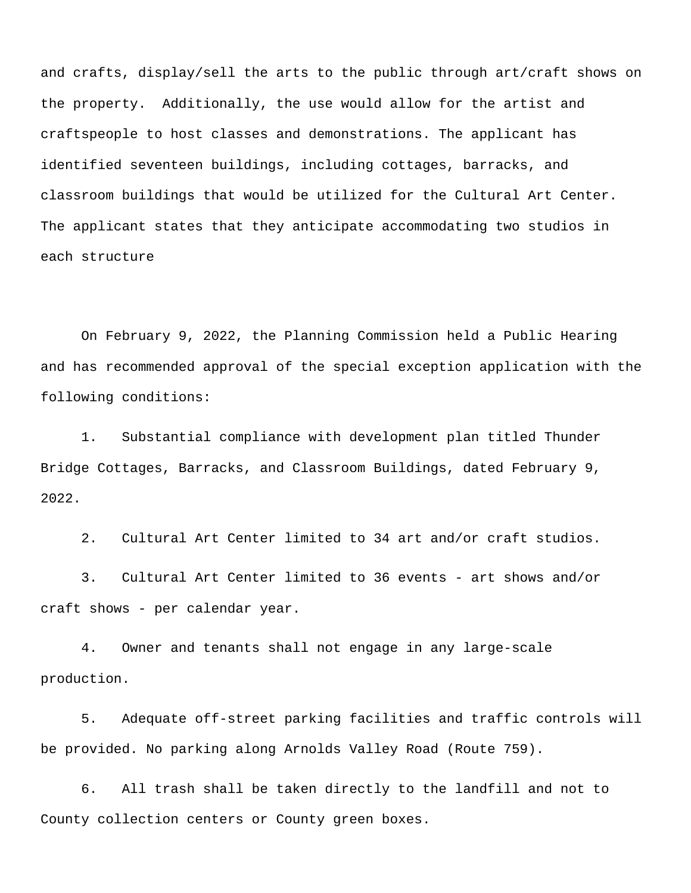and crafts, display/sell the arts to the public through art/craft shows on the property. Additionally, the use would allow for the artist and craftspeople to host classes and demonstrations. The applicant has identified seventeen buildings, including cottages, barracks, and classroom buildings that would be utilized for the Cultural Art Center. The applicant states that they anticipate accommodating two studios in each structure

On February 9, 2022, the Planning Commission held a Public Hearing and has recommended approval of the special exception application with the following conditions:

1. Substantial compliance with development plan titled Thunder Bridge Cottages, Barracks, and Classroom Buildings, dated February 9, 2022.

2. Cultural Art Center limited to 34 art and/or craft studios.

3. Cultural Art Center limited to 36 events - art shows and/or craft shows - per calendar year.

4. Owner and tenants shall not engage in any large-scale production.

5. Adequate off-street parking facilities and traffic controls will be provided. No parking along Arnolds Valley Road (Route 759).

6. All trash shall be taken directly to the landfill and not to County collection centers or County green boxes.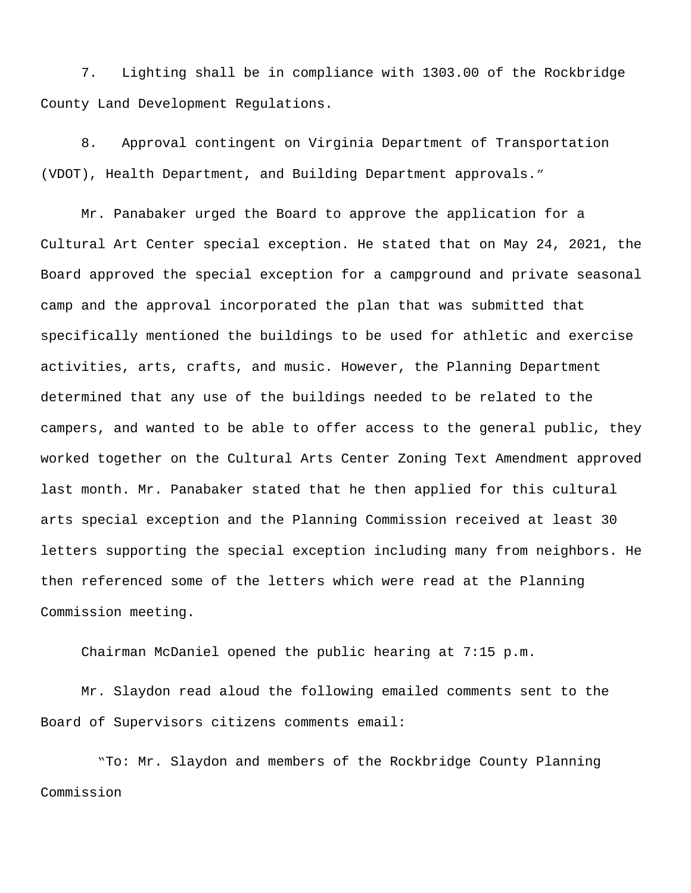7. Lighting shall be in compliance with 1303.00 of the Rockbridge County Land Development Regulations.

8. Approval contingent on Virginia Department of Transportation (VDOT), Health Department, and Building Department approvals."

Mr. Panabaker urged the Board to approve the application for a Cultural Art Center special exception. He stated that on May 24, 2021, the Board approved the special exception for a campground and private seasonal camp and the approval incorporated the plan that was submitted that specifically mentioned the buildings to be used for athletic and exercise activities, arts, crafts, and music. However, the Planning Department determined that any use of the buildings needed to be related to the campers, and wanted to be able to offer access to the general public, they worked together on the Cultural Arts Center Zoning Text Amendment approved last month. Mr. Panabaker stated that he then applied for this cultural arts special exception and the Planning Commission received at least 30 letters supporting the special exception including many from neighbors. He then referenced some of the letters which were read at the Planning Commission meeting.

Chairman McDaniel opened the public hearing at 7:15 p.m.

Mr. Slaydon read aloud the following emailed comments sent to the Board of Supervisors citizens comments email:

 "To: Mr. Slaydon and members of the Rockbridge County Planning Commission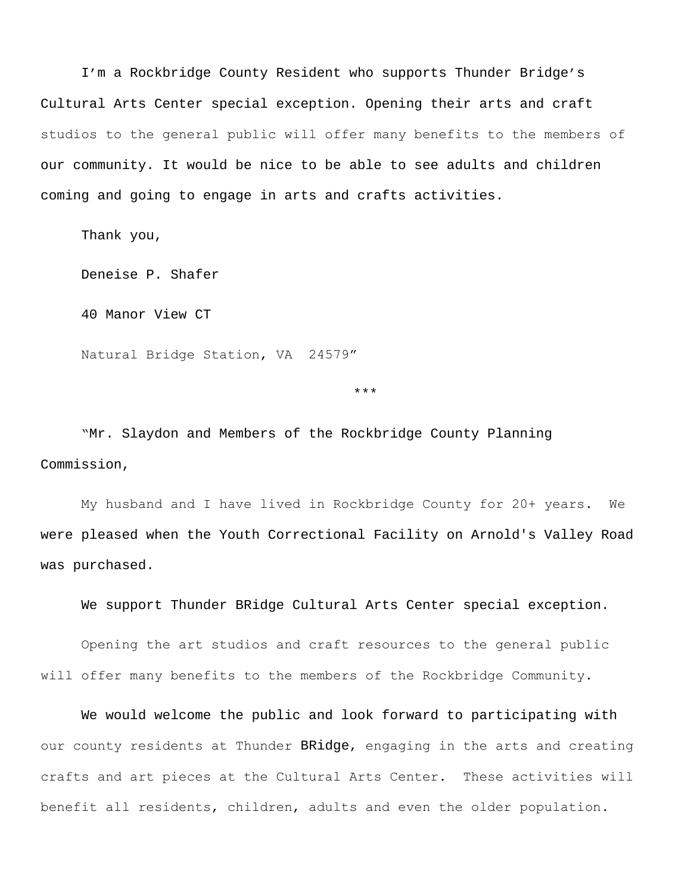I'm a Rockbridge County Resident who supports Thunder Bridge's Cultural Arts Center special exception. Opening their arts and craft studios to the general public will offer many benefits to the members of our community. It would be nice to be able to see adults and children coming and going to engage in arts and crafts activities.

Thank you,

Deneise P. Shafer

40 Manor View CT

Natural Bridge Station, VA 24579"

\*\*\*

"Mr. Slaydon and Members of the Rockbridge County Planning Commission,

My husband and I have lived in Rockbridge County for 20+ years. We were pleased when the Youth Correctional Facility on Arnold's Valley Road was purchased.

We support Thunder BRidge Cultural Arts Center special exception.

Opening the art studios and craft resources to the general public will offer many benefits to the members of the Rockbridge Community.

We would welcome the public and look forward to participating with our county residents at Thunder BRidge, engaging in the arts and creating crafts and art pieces at the Cultural Arts Center. These activities will benefit all residents, children, adults and even the older population.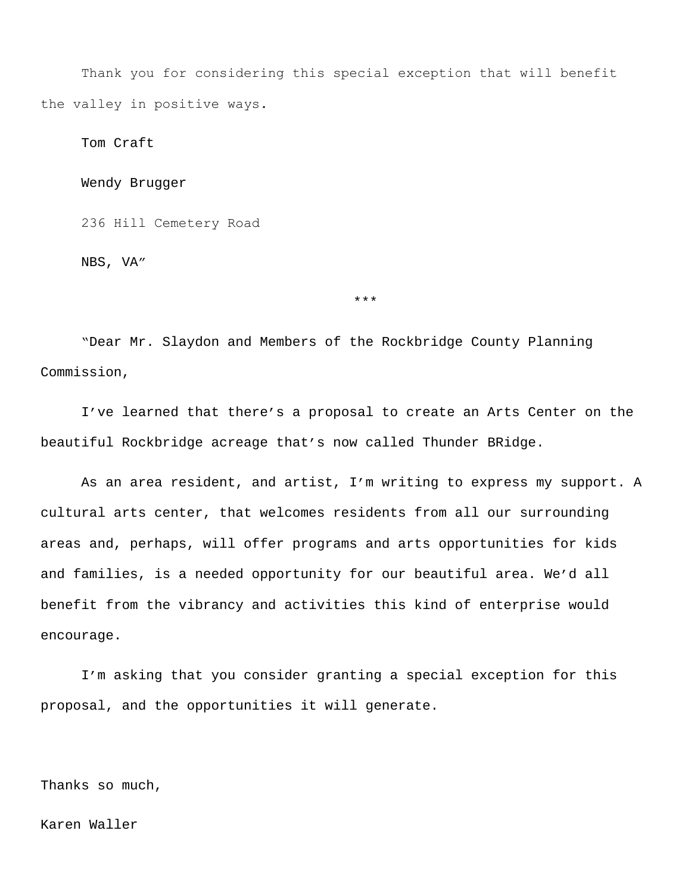Thank you for considering this special exception that will benefit the valley in positive ways.

Tom Craft

Wendy Brugger

236 Hill Cemetery Road

NBS, VA"

"Dear Mr. Slaydon and Members of the Rockbridge County Planning Commission,

I've learned that there's a proposal to create an Arts Center on the beautiful Rockbridge acreage that's now called Thunder BRidge.

\*\*\*

As an area resident, and artist, I'm writing to express my support. A cultural arts center, that welcomes residents from all our surrounding areas and, perhaps, will offer programs and arts opportunities for kids and families, is a needed opportunity for our beautiful area. We'd all benefit from the vibrancy and activities this kind of enterprise would encourage.

I'm asking that you consider granting a special exception for this proposal, and the opportunities it will generate.

Thanks so much,

Karen Waller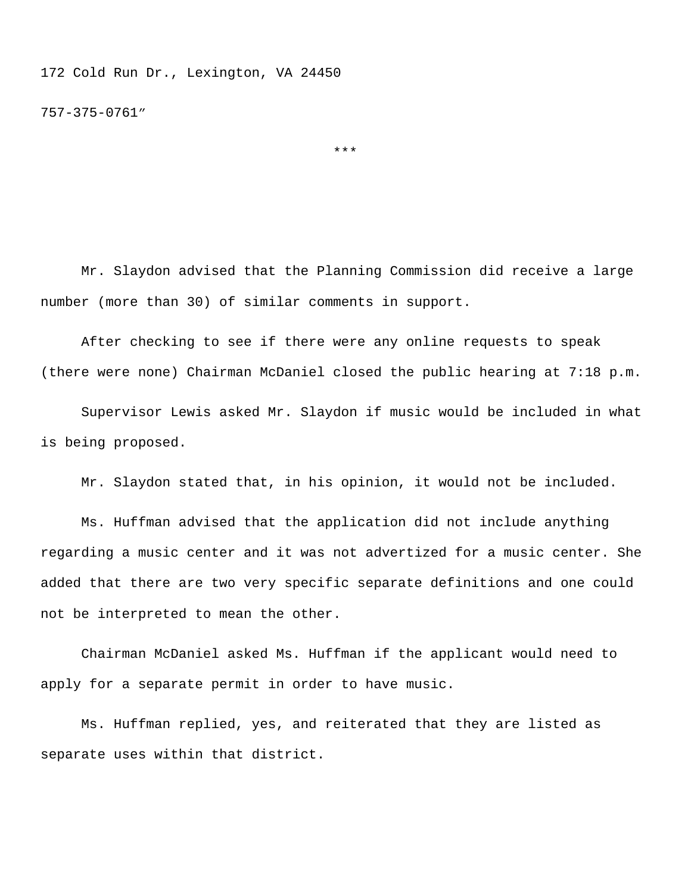172 Cold Run Dr., Lexington, VA 24450

757-375-0761"

\*\*\*

Mr. Slaydon advised that the Planning Commission did receive a large number (more than 30) of similar comments in support.

After checking to see if there were any online requests to speak (there were none) Chairman McDaniel closed the public hearing at 7:18 p.m.

Supervisor Lewis asked Mr. Slaydon if music would be included in what is being proposed.

Mr. Slaydon stated that, in his opinion, it would not be included.

Ms. Huffman advised that the application did not include anything regarding a music center and it was not advertized for a music center. She added that there are two very specific separate definitions and one could not be interpreted to mean the other.

Chairman McDaniel asked Ms. Huffman if the applicant would need to apply for a separate permit in order to have music.

Ms. Huffman replied, yes, and reiterated that they are listed as separate uses within that district.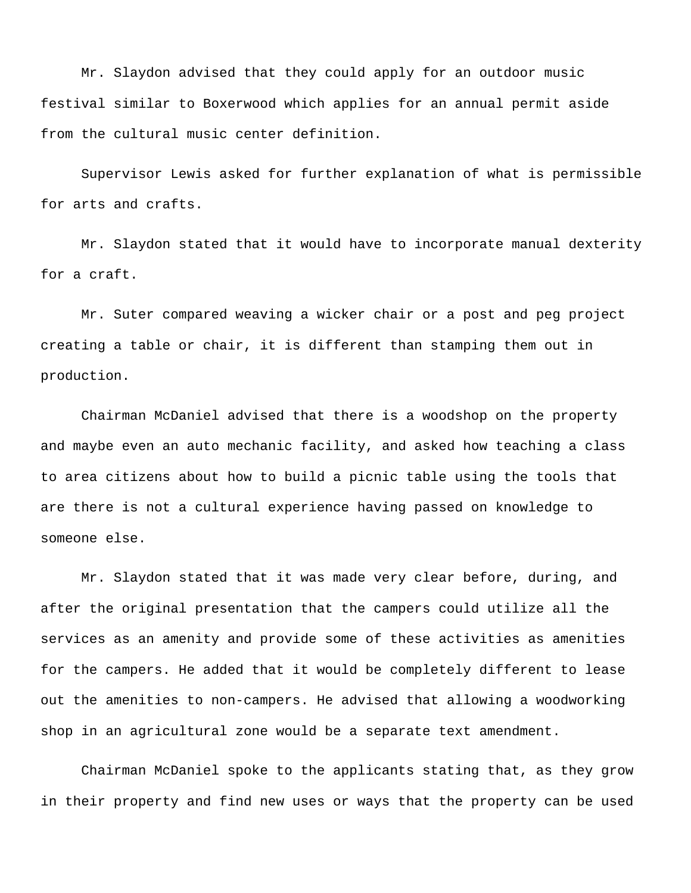Mr. Slaydon advised that they could apply for an outdoor music festival similar to Boxerwood which applies for an annual permit aside from the cultural music center definition.

Supervisor Lewis asked for further explanation of what is permissible for arts and crafts.

Mr. Slaydon stated that it would have to incorporate manual dexterity for a craft.

Mr. Suter compared weaving a wicker chair or a post and peg project creating a table or chair, it is different than stamping them out in production.

Chairman McDaniel advised that there is a woodshop on the property and maybe even an auto mechanic facility, and asked how teaching a class to area citizens about how to build a picnic table using the tools that are there is not a cultural experience having passed on knowledge to someone else.

Mr. Slaydon stated that it was made very clear before, during, and after the original presentation that the campers could utilize all the services as an amenity and provide some of these activities as amenities for the campers. He added that it would be completely different to lease out the amenities to non-campers. He advised that allowing a woodworking shop in an agricultural zone would be a separate text amendment.

Chairman McDaniel spoke to the applicants stating that, as they grow in their property and find new uses or ways that the property can be used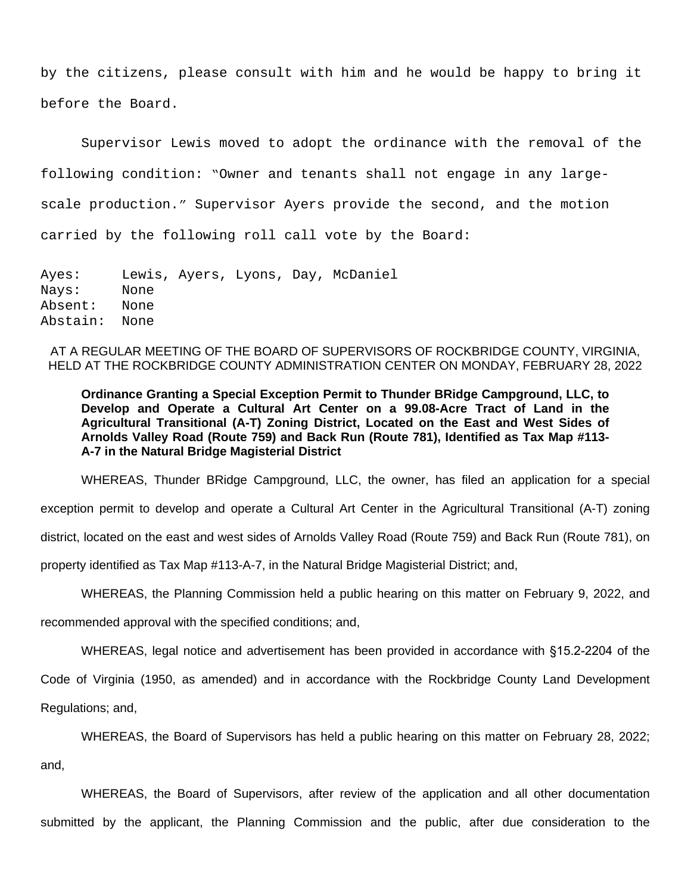by the citizens, please consult with him and he would be happy to bring it before the Board.

Supervisor Lewis moved to adopt the ordinance with the removal of the following condition: "Owner and tenants shall not engage in any largescale production." Supervisor Ayers provide the second, and the motion carried by the following roll call vote by the Board:

Ayes: Lewis, Ayers, Lyons, Day, McDaniel Nays: None Absent: None Abstain: None

AT A REGULAR MEETING OF THE BOARD OF SUPERVISORS OF ROCKBRIDGE COUNTY, VIRGINIA, HELD AT THE ROCKBRIDGE COUNTY ADMINISTRATION CENTER ON MONDAY, FEBRUARY 28, 2022

**Ordinance Granting a Special Exception Permit to Thunder BRidge Campground, LLC, to Develop and Operate a Cultural Art Center on a 99.08-Acre Tract of Land in the Agricultural Transitional (A-T) Zoning District, Located on the East and West Sides of Arnolds Valley Road (Route 759) and Back Run (Route 781), Identified as Tax Map #113- A-7 in the Natural Bridge Magisterial District**

WHEREAS, Thunder BRidge Campground, LLC, the owner, has filed an application for a special exception permit to develop and operate a Cultural Art Center in the Agricultural Transitional (A-T) zoning district, located on the east and west sides of Arnolds Valley Road (Route 759) and Back Run (Route 781), on property identified as Tax Map #113-A-7, in the Natural Bridge Magisterial District; and,

WHEREAS, the Planning Commission held a public hearing on this matter on February 9, 2022, and

recommended approval with the specified conditions; and,

WHEREAS, legal notice and advertisement has been provided in accordance with §15.2-2204 of the

Code of Virginia (1950, as amended) and in accordance with the Rockbridge County Land Development Regulations; and,

WHEREAS, the Board of Supervisors has held a public hearing on this matter on February 28, 2022;

and,

WHEREAS, the Board of Supervisors, after review of the application and all other documentation submitted by the applicant, the Planning Commission and the public, after due consideration to the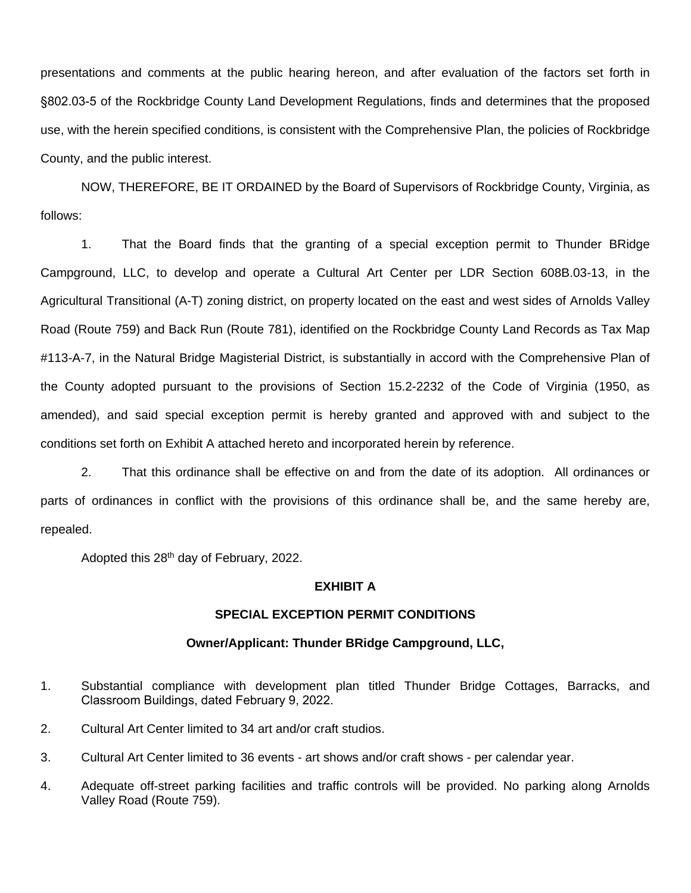presentations and comments at the public hearing hereon, and after evaluation of the factors set forth in §802.03-5 of the Rockbridge County Land Development Regulations, finds and determines that the proposed use, with the herein specified conditions, is consistent with the Comprehensive Plan, the policies of Rockbridge County, and the public interest.

NOW, THEREFORE, BE IT ORDAINED by the Board of Supervisors of Rockbridge County, Virginia, as follows:

1. That the Board finds that the granting of a special exception permit to Thunder BRidge Campground, LLC, to develop and operate a Cultural Art Center per LDR Section 608B.03-13, in the Agricultural Transitional (A-T) zoning district, on property located on the east and west sides of Arnolds Valley Road (Route 759) and Back Run (Route 781), identified on the Rockbridge County Land Records as Tax Map #113-A-7, in the Natural Bridge Magisterial District, is substantially in accord with the Comprehensive Plan of the County adopted pursuant to the provisions of Section 15.2-2232 of the Code of Virginia (1950, as amended), and said special exception permit is hereby granted and approved with and subject to the conditions set forth on Exhibit A attached hereto and incorporated herein by reference.

2. That this ordinance shall be effective on and from the date of its adoption. All ordinances or parts of ordinances in conflict with the provisions of this ordinance shall be, and the same hereby are, repealed.

Adopted this 28th day of February, 2022.

## **EXHIBIT A**

## **SPECIAL EXCEPTION PERMIT CONDITIONS**

## **Owner/Applicant: Thunder BRidge Campground, LLC,**

- 1. Substantial compliance with development plan titled Thunder Bridge Cottages, Barracks, and Classroom Buildings, dated February 9, 2022.
- 2. Cultural Art Center limited to 34 art and/or craft studios.
- 3. Cultural Art Center limited to 36 events art shows and/or craft shows per calendar year.
- 4. Adequate off-street parking facilities and traffic controls will be provided. No parking along Arnolds Valley Road (Route 759).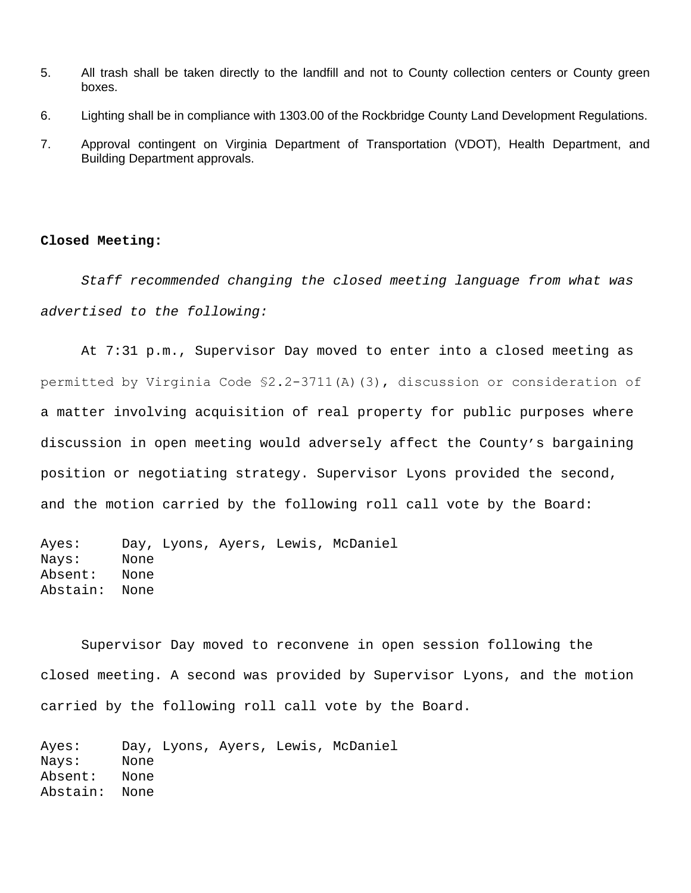- 5. All trash shall be taken directly to the landfill and not to County collection centers or County green boxes.
- 6. Lighting shall be in compliance with 1303.00 of the Rockbridge County Land Development Regulations.
- 7. Approval contingent on Virginia Department of Transportation (VDOT), Health Department, and Building Department approvals.

## **Closed Meeting:**

*Staff recommended changing the closed meeting language from what was advertised to the following:*

At 7:31 p.m., Supervisor Day moved to enter into a closed meeting as permitted by Virginia Code §2.2-3711(A)(3), discussion or consideration of a matter involving acquisition of real property for public purposes where discussion in open meeting would adversely affect the County's bargaining position or negotiating strategy. Supervisor Lyons provided the second, and the motion carried by the following roll call vote by the Board:

Ayes: Day, Lyons, Ayers, Lewis, McDaniel Nays: None Absent: None Abstain: None

Supervisor Day moved to reconvene in open session following the closed meeting. A second was provided by Supervisor Lyons, and the motion carried by the following roll call vote by the Board.

Ayes: Day, Lyons, Ayers, Lewis, McDaniel Nays: None Absent: None Abstain: None